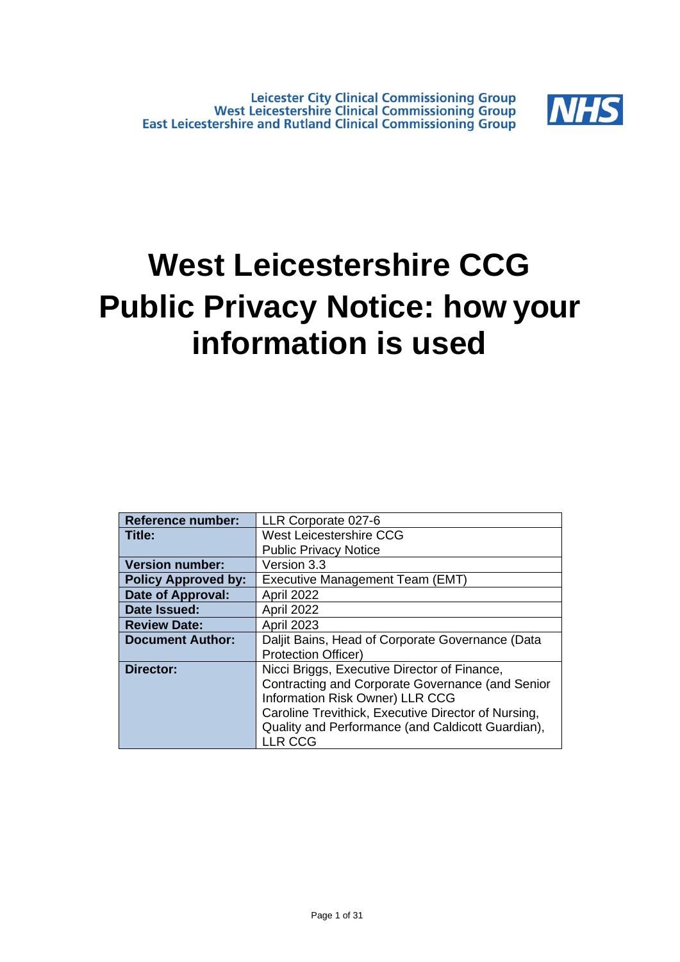

# **West Leicestershire CCG Public Privacy Notice: how your information is used**

| <b>Reference number:</b>   | LLR Corporate 027-6                                 |  |  |  |
|----------------------------|-----------------------------------------------------|--|--|--|
| Title:                     | <b>West Leicestershire CCG</b>                      |  |  |  |
|                            | <b>Public Privacy Notice</b>                        |  |  |  |
| <b>Version number:</b>     | Version 3.3                                         |  |  |  |
| <b>Policy Approved by:</b> | Executive Management Team (EMT)                     |  |  |  |
| <b>Date of Approval:</b>   | April 2022                                          |  |  |  |
| Date Issued:               | April 2022                                          |  |  |  |
| <b>Review Date:</b>        | <b>April 2023</b>                                   |  |  |  |
| <b>Document Author:</b>    | Daljit Bains, Head of Corporate Governance (Data    |  |  |  |
|                            | <b>Protection Officer)</b>                          |  |  |  |
| Director:                  | Nicci Briggs, Executive Director of Finance,        |  |  |  |
|                            | Contracting and Corporate Governance (and Senior    |  |  |  |
|                            | Information Risk Owner) LLR CCG                     |  |  |  |
|                            | Caroline Trevithick, Executive Director of Nursing, |  |  |  |
|                            | Quality and Performance (and Caldicott Guardian),   |  |  |  |
|                            | LLR CCG                                             |  |  |  |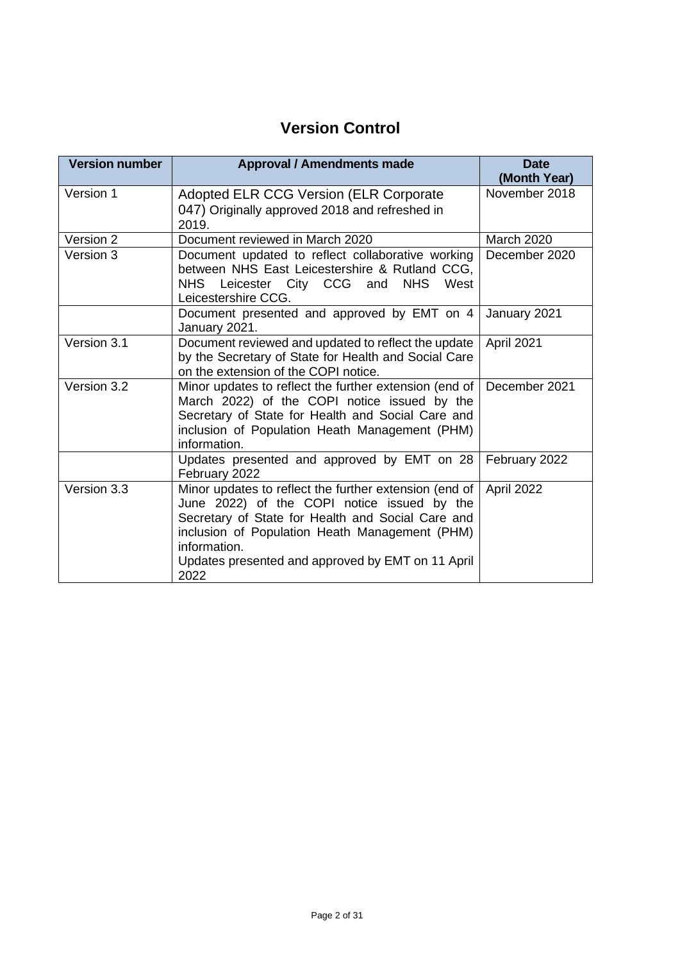## **Version Control**

| <b>Version number</b> | <b>Approval / Amendments made</b>                                                                                                                                                                                                                                                         | <b>Date</b><br>(Month Year) |
|-----------------------|-------------------------------------------------------------------------------------------------------------------------------------------------------------------------------------------------------------------------------------------------------------------------------------------|-----------------------------|
| Version 1             | <b>Adopted ELR CCG Version (ELR Corporate</b><br>047) Originally approved 2018 and refreshed in<br>2019.                                                                                                                                                                                  | November 2018               |
| Version 2             | Document reviewed in March 2020                                                                                                                                                                                                                                                           | <b>March 2020</b>           |
| Version 3             | Document updated to reflect collaborative working<br>between NHS East Leicestershire & Rutland CCG,<br>NHS Leicester City CCG and<br><b>NHS</b><br>West<br>Leicestershire CCG.                                                                                                            | December 2020               |
|                       | Document presented and approved by EMT on 4<br>January 2021.                                                                                                                                                                                                                              | January 2021                |
| Version 3.1           | Document reviewed and updated to reflect the update<br>by the Secretary of State for Health and Social Care<br>on the extension of the COPI notice.                                                                                                                                       | April 2021                  |
| Version 3.2           | Minor updates to reflect the further extension (end of<br>March 2022) of the COPI notice issued by the<br>Secretary of State for Health and Social Care and<br>inclusion of Population Heath Management (PHM)<br>information.                                                             | December 2021               |
|                       | Updates presented and approved by EMT on 28<br>February 2022                                                                                                                                                                                                                              | February 2022               |
| Version 3.3           | Minor updates to reflect the further extension (end of<br>June 2022) of the COPI notice issued by the<br>Secretary of State for Health and Social Care and<br>inclusion of Population Heath Management (PHM)<br>information.<br>Updates presented and approved by EMT on 11 April<br>2022 | April 2022                  |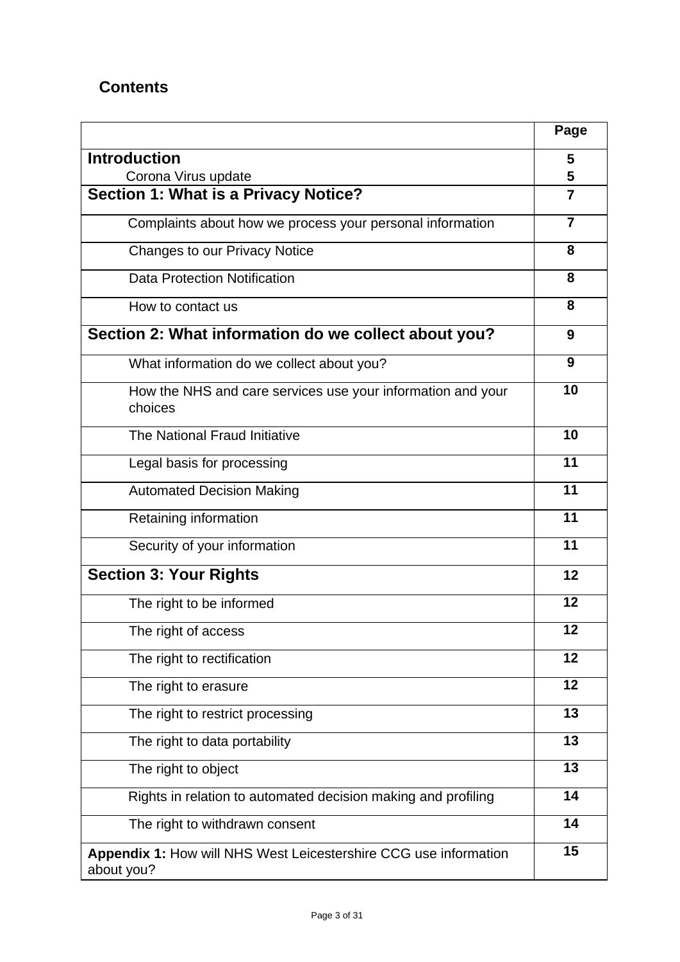## **Contents**

|                                                                                | Page           |
|--------------------------------------------------------------------------------|----------------|
| <b>Introduction</b>                                                            | 5              |
| Corona Virus update                                                            | 5              |
| Section 1: What is a Privacy Notice?                                           | $\overline{7}$ |
| Complaints about how we process your personal information                      | $\overline{7}$ |
| Changes to our Privacy Notice                                                  | 8              |
| <b>Data Protection Notification</b>                                            | 8              |
| How to contact us                                                              | 8              |
| Section 2: What information do we collect about you?                           | 9              |
| What information do we collect about you?                                      | 9              |
| How the NHS and care services use your information and your<br>choices         | 10             |
| The National Fraud Initiative                                                  | 10             |
| Legal basis for processing                                                     | 11             |
| <b>Automated Decision Making</b>                                               | 11             |
| Retaining information                                                          | 11             |
| Security of your information                                                   | 11             |
| <b>Section 3: Your Rights</b>                                                  | 12             |
| The right to be informed                                                       | 12             |
| The right of access                                                            | 12             |
| The right to rectification                                                     | 12             |
| The right to erasure                                                           | 12             |
| The right to restrict processing                                               | 13             |
| The right to data portability                                                  | 13             |
| The right to object                                                            | 13             |
| Rights in relation to automated decision making and profiling                  | 14             |
| The right to withdrawn consent                                                 | 14             |
| Appendix 1: How will NHS West Leicestershire CCG use information<br>about you? | 15             |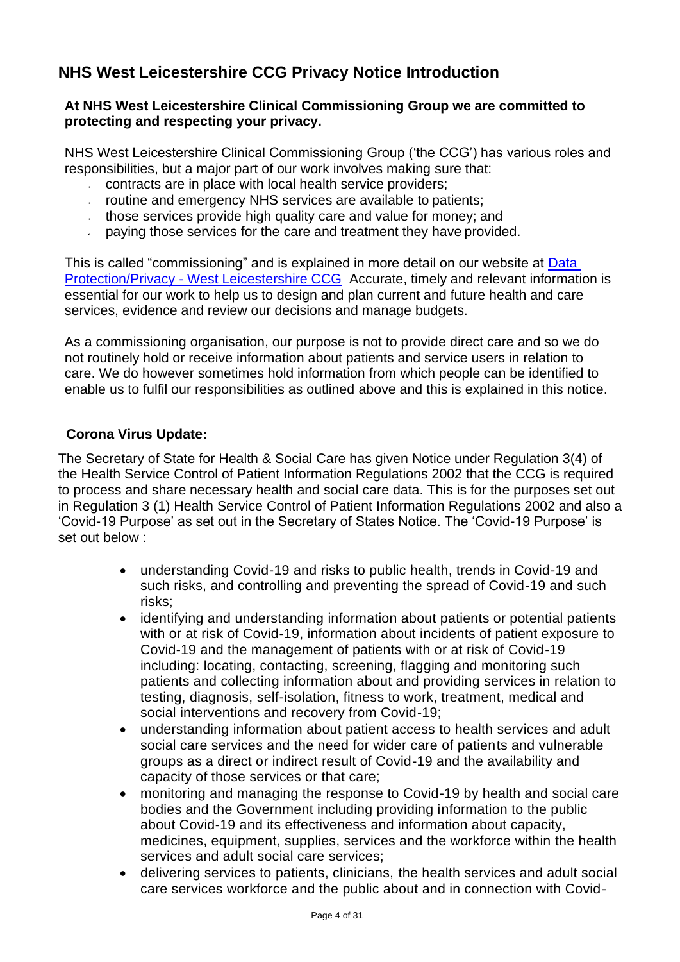## <span id="page-3-0"></span>**NHS West Leicestershire CCG Privacy Notice Introduction**

#### **At NHS West Leicestershire Clinical Commissioning Group we are committed to protecting and respecting your privacy.**

NHS West Leicestershire Clinical Commissioning Group ('the CCG') has various roles and responsibilities, but a major part of our work involves making sure that:

- contracts are in place with local health service providers;
- routine and emergency NHS services are available to patients;
- those services provide high quality care and value for money; and
- paying those services for the care and treatment they have provided.

This is called "commissioning" and is explained in more detail on our website at [Data](https://www.westleicestershireccg.nhs.uk/data-protection-privacy)  Protection/Privacy - [West Leicestershire CCG](https://www.westleicestershireccg.nhs.uk/data-protection-privacy) Accurate, timely and relevant information is essential for our work to help us to design and plan current and future health and care services, evidence and review our decisions and manage budgets.

As a commissioning organisation, our purpose is not to provide direct care and so we do not routinely hold or receive information about patients and service users in relation to care. We do however sometimes hold information from which people can be identified to enable us to fulfil our responsibilities as outlined above and this is explained in this notice.

#### **Corona Virus Update:**

The Secretary of State for Health & Social Care has given Notice under Regulation 3(4) of the Health Service Control of Patient Information Regulations 2002 that the CCG is required to process and share necessary health and social care data. This is for the purposes set out in Regulation 3 (1) Health Service Control of Patient Information Regulations 2002 and also a 'Covid-19 Purpose' as set out in the Secretary of States Notice. The 'Covid-19 Purpose' is set out below :

- understanding Covid-19 and risks to public health, trends in Covid-19 and such risks, and controlling and preventing the spread of Covid-19 and such risks;
- identifying and understanding information about patients or potential patients with or at risk of Covid-19, information about incidents of patient exposure to Covid-19 and the management of patients with or at risk of Covid-19 including: locating, contacting, screening, flagging and monitoring such patients and collecting information about and providing services in relation to testing, diagnosis, self-isolation, fitness to work, treatment, medical and social interventions and recovery from Covid-19;
- understanding information about patient access to health services and adult social care services and the need for wider care of patients and vulnerable groups as a direct or indirect result of Covid-19 and the availability and capacity of those services or that care;
- monitoring and managing the response to Covid-19 by health and social care bodies and the Government including providing information to the public about Covid-19 and its effectiveness and information about capacity, medicines, equipment, supplies, services and the workforce within the health services and adult social care services;
- delivering services to patients, clinicians, the health services and adult social care services workforce and the public about and in connection with Covid-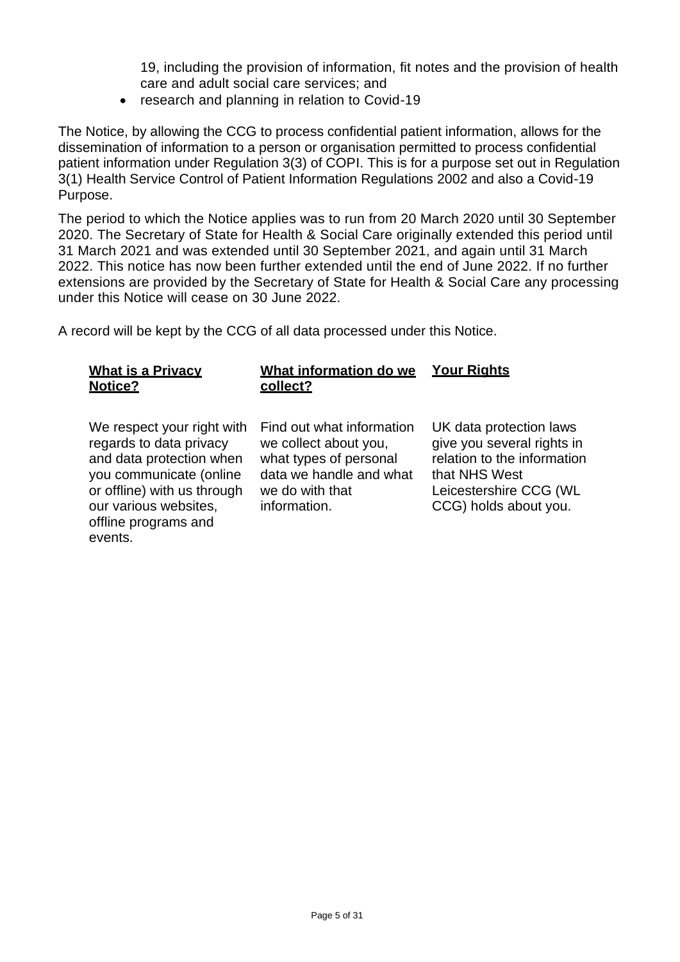19, including the provision of information, fit notes and the provision of health care and adult social care services; and

• research and planning in relation to Covid-19

The Notice, by allowing the CCG to process confidential patient information, allows for the dissemination of information to a person or organisation permitted to process confidential patient information under Regulation 3(3) of COPI. This is for a purpose set out in Regulation 3(1) Health Service Control of Patient Information Regulations 2002 and also a Covid-19 Purpose.

The period to which the Notice applies was to run from 20 March 2020 until 30 September 2020. The Secretary of State for Health & Social Care originally extended this period until 31 March 2021 and was extended until 30 September 2021, and again until 31 March 2022. This notice has now been further extended until the end of June 2022. If no further extensions are provided by the Secretary of State for Health & Social Care any processing under this Notice will cease on 30 June 2022.

A record will be kept by the CCG of all data processed under this Notice.

<span id="page-4-0"></span>

| Find out what information<br>We respect your right with<br>regards to data privacy<br>we collect about you,<br>what types of personal<br>and data protection when<br>data we handle and what<br>you communicate (online<br>that NHS West<br>or offline) with us through<br>we do with that<br>our various websites,<br>information.<br>offline programs and<br>events. | <b>What is a Privacy</b><br><b>Notice?</b> | What information do we<br>collect? | <b>Your Rights</b>                                                                                                                      |
|------------------------------------------------------------------------------------------------------------------------------------------------------------------------------------------------------------------------------------------------------------------------------------------------------------------------------------------------------------------------|--------------------------------------------|------------------------------------|-----------------------------------------------------------------------------------------------------------------------------------------|
|                                                                                                                                                                                                                                                                                                                                                                        |                                            |                                    | UK data protection laws<br>give you several rights in<br>relation to the information<br>Leicestershire CCG (WL<br>CCG) holds about you. |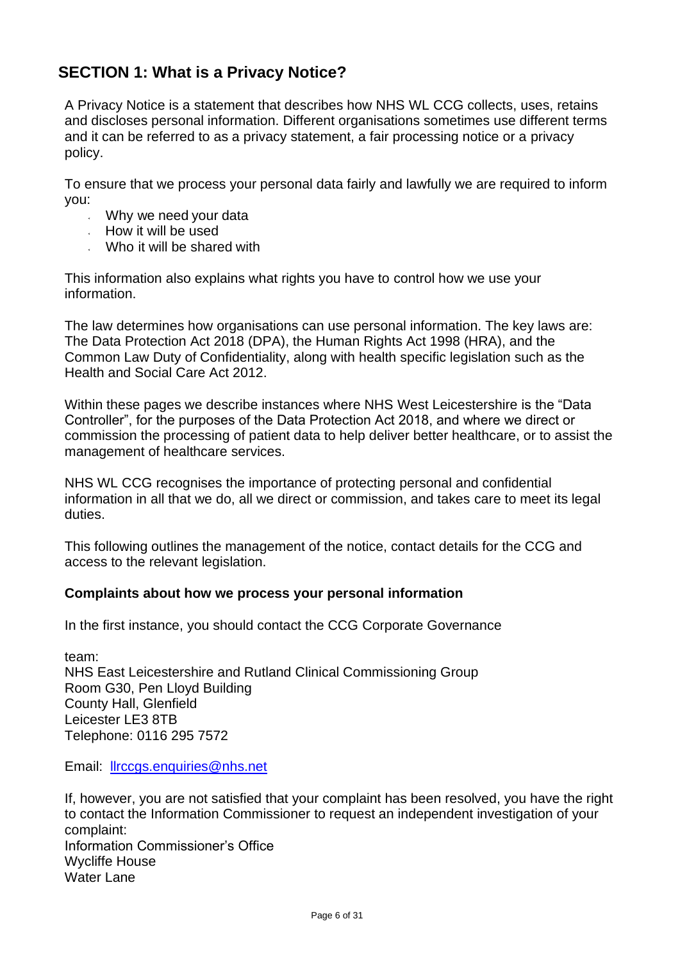## **SECTION 1: What is a Privacy Notice?**

A Privacy Notice is a statement that describes how NHS WL CCG collects, uses, retains and discloses personal information. Different organisations sometimes use different terms and it can be referred to as a privacy statement, a fair processing notice or a privacy policy.

To ensure that we process your personal data fairly and lawfully we are required to inform you:

- Why we need your data
- How it will be used
- Who it will be shared with

This information also explains what rights you have to control how we use your information.

The law determines how organisations can use personal information. The key laws are: The Data Protection Act 2018 (DPA), the Human Rights Act 1998 (HRA), and the Common Law Duty of Confidentiality, along with health specific legislation such as the Health and Social Care Act 2012.

Within these pages we describe instances where NHS West Leicestershire is the "Data Controller", for the purposes of the Data Protection Act 2018, and where we direct or commission the processing of patient data to help deliver better healthcare, or to assist the management of healthcare services.

NHS WL CCG recognises the importance of protecting personal and confidential information in all that we do, all we direct or commission, and takes care to meet its legal duties.

This following outlines the management of the notice, contact details for the CCG and access to the relevant legislation.

#### **Complaints about how we process your personal information**

In the first instance, you should contact the CCG Corporate Governance

team: NHS East Leicestershire and Rutland Clinical Commissioning Group Room G30, Pen Lloyd Building County Hall, Glenfield Leicester LE3 8TB Telephone: 0116 295 7572

Email: [llrccgs.enquiries@nhs.net](mailto:llrccgs.enquiries@nhs.net)

If, however, you are not satisfied that your complaint has been resolved, you have the right to contact the Information Commissioner to request an independent investigation of your complaint: Information Commissioner's Office Wycliffe House Water Lane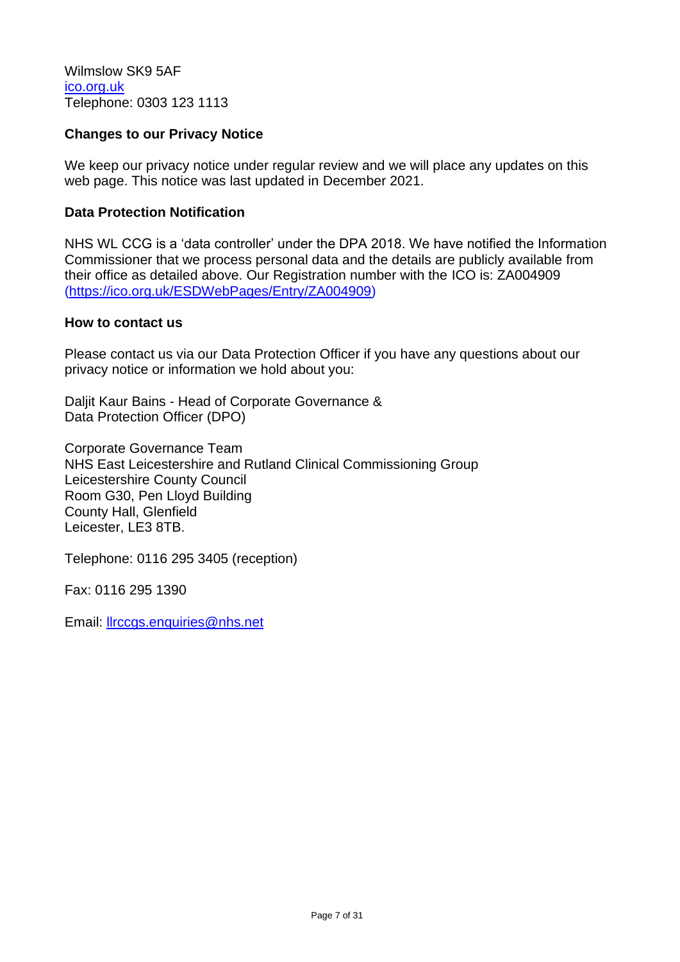<span id="page-6-0"></span>Wilmslow SK9 5AF [ico.org.uk](https://ico.org.uk/) Telephone: 0303 123 1113

#### **Changes to our Privacy Notice**

We keep our privacy notice under regular review and we will place any updates on this web page. This notice was last updated in December 2021.

#### **Data Protection Notification**

NHS WL CCG is a 'data controller' under the DPA 2018. We have notified the Information Commissioner that we process personal data and the details are publicly available from their office as detailed above. Our Registration number with the ICO is: ZA004909 [\(https://ico.org.uk/ESDWebPages/Entry/ZA004909\)](https://ico.org.uk/ESDWebPages/Entry/ZA004909)

#### <span id="page-6-1"></span>**How to contact us**

Please contact us via our Data Protection Officer if you have any questions about our privacy notice or information we hold about you:

Daljit Kaur Bains - Head of Corporate Governance & Data Protection Officer (DPO)

Corporate Governance Team NHS East Leicestershire and Rutland Clinical Commissioning Group Leicestershire County Council Room G30, Pen Lloyd Building County Hall, Glenfield Leicester, LE3 8TB.

Telephone: 0116 295 3405 (reception)

Fax: 0116 295 1390

Email: [llrccgs.enquiries@nhs.net](mailto:llrccgs.enquiries@nhs.net)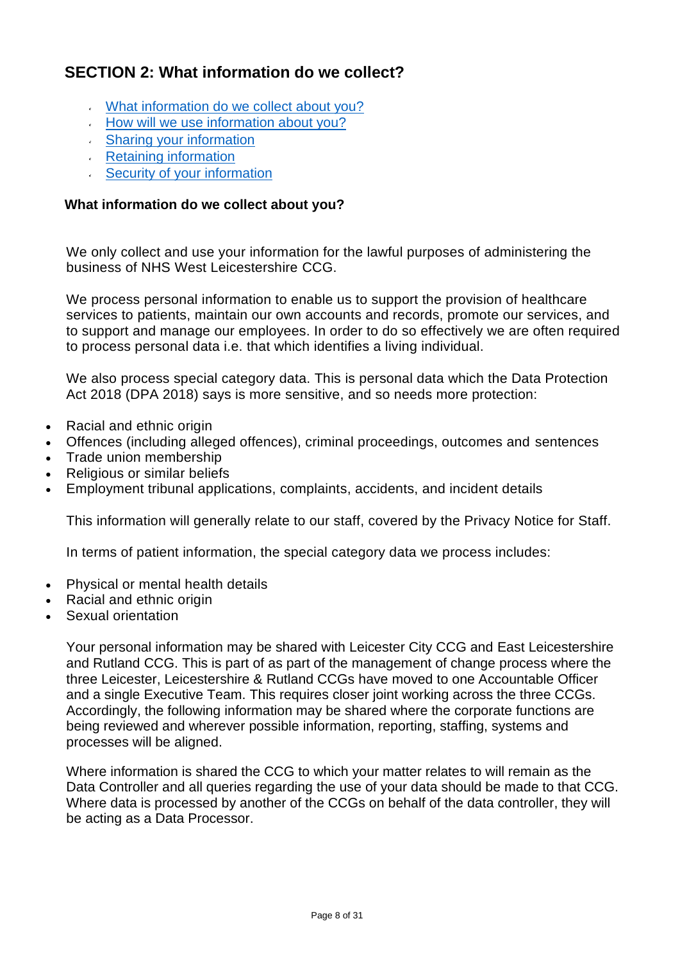## **SECTION 2: What information do we collect?**

- [What information do we collect about you?](#page-7-0)
- [How will we use information about you?](#page-8-0)
- [Sharing your information](#page-8-1)
- [Retaining information](#page-8-1)
- [Security of your information](#page-9-1)

#### <span id="page-7-0"></span>**What information do we collect about you?**

We only collect and use your information for the lawful purposes of administering the business of NHS West Leicestershire CCG.

We process personal information to enable us to support the provision of healthcare services to patients, maintain our own accounts and records, promote our services, and to support and manage our employees. In order to do so effectively we are often required to process personal data i.e. that which identifies a living individual.

We also process special category data. This is personal data which the Data Protection Act 2018 (DPA 2018) says is more sensitive, and so needs more protection:

- Racial and ethnic origin
- Offences (including alleged offences), criminal proceedings, outcomes and sentences
- Trade union membership
- Religious or similar beliefs
- Employment tribunal applications, complaints, accidents, and incident details

This information will generally relate to our staff, covered by the Privacy Notice for Staff.

In terms of patient information, the special category data we process includes:

- Physical or mental health details
- Racial and ethnic origin
- Sexual orientation

Your personal information may be shared with Leicester City CCG and East Leicestershire and Rutland CCG. This is part of as part of the management of change process where the three Leicester, Leicestershire & Rutland CCGs have moved to one Accountable Officer and a single Executive Team. This requires closer joint working across the three CCGs. Accordingly, the following information may be shared where the corporate functions are being reviewed and wherever possible information, reporting, staffing, systems and processes will be aligned.

Where information is shared the CCG to which your matter relates to will remain as the Data Controller and all queries regarding the use of your data should be made to that CCG. Where data is processed by another of the CCGs on behalf of the data controller, they will be acting as a Data Processor.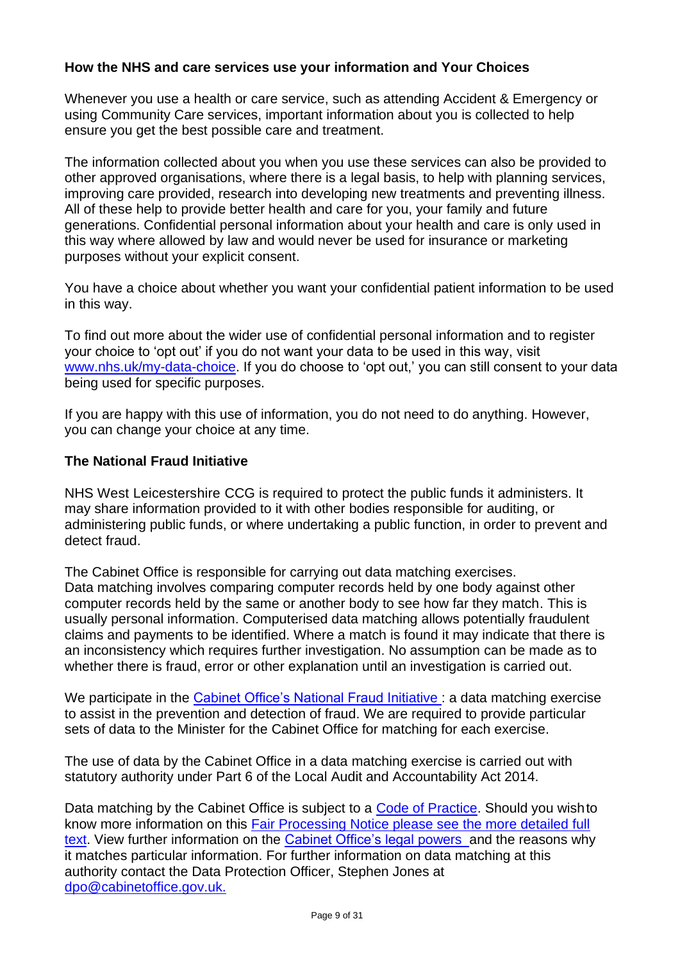#### **How the NHS and care services use your information and Your Choices**

Whenever you use a health or care service, such as attending Accident & Emergency or using Community Care services, important information about you is collected to help ensure you get the best possible care and treatment.

The information collected about you when you use these services can also be provided to other approved organisations, where there is a legal basis, to help with planning services, improving care provided, research into developing new treatments and preventing illness. All of these help to provide better health and care for you, your family and future generations. Confidential personal information about your health and care is only used in this way where allowed by law and would never be used for insurance or marketing purposes without your explicit consent.

<span id="page-8-1"></span>You have a choice about whether you want your confidential patient information to be used in this way.

To find out more about the wider use of confidential personal information and to register your choice to 'opt out' if you do not want your data to be used in this way, visit [www.nhs.uk/my-data-choice.](http://www.nhs.uk/my-data-choice) If you do choose to 'opt out,' you can still consent to your data being used for specific purposes.

If you are happy with this use of information, you do not need to do anything. However, you can change your choice at any time.

#### <span id="page-8-0"></span>**The National Fraud Initiative**

NHS West Leicestershire CCG is required to protect the public funds it administers. It may share information provided to it with other bodies responsible for auditing, or administering public funds, or where undertaking a public function, in order to prevent and detect fraud.

The Cabinet Office is responsible for carrying out data matching exercises. Data matching involves comparing computer records held by one body against other computer records held by the same or another body to see how far they match. This is usually personal information. Computerised data matching allows potentially fraudulent claims and payments to be identified. Where a match is found it may indicate that there is an inconsistency which requires further investigation. No assumption can be made as to whether there is fraud, error or other explanation until an investigation is carried out.

We participate in the [Cabinet Office's National Fraud Initiative :](https://www.gov.uk/government/collections/national-fraud-initiative) a data matching exercise to assist in the prevention and detection of fraud. We are required to provide particular sets of data to the Minister for the Cabinet Office for matching for each exercise.

The use of data by the Cabinet Office in a data matching exercise is carried out with statutory authority under Part 6 of the Local Audit and Accountability Act 2014.

Data matching by the Cabinet Office is subject to a [Code of Practice.](https://www.gov.uk/government/publications/code-of-data-matching-practice-for-national-fraud-initiative) Should you wishto know more information on this [Fair Processing Notice please see the more detailed full](https://www.gov.uk/government/publications/fair-processing-national-fraud-initiative/fair-processing-level-3-full-text) [text.](https://www.gov.uk/government/publications/fair-processing-national-fraud-initiative/fair-processing-level-3-full-text) View further information on the [Cabinet Office's legal powers](https://www.gov.uk/government/publications/fair-processing-national-fraud-initiative/fair-processing-level-3-full-text) and the reasons why it matches particular information. For further information on data matching at this authority contact the Data Protection Officer, Stephen Jones at [dpo@cabinetoffice.gov.uk.](mailto:dpo@cabinetoffice.gov.uk)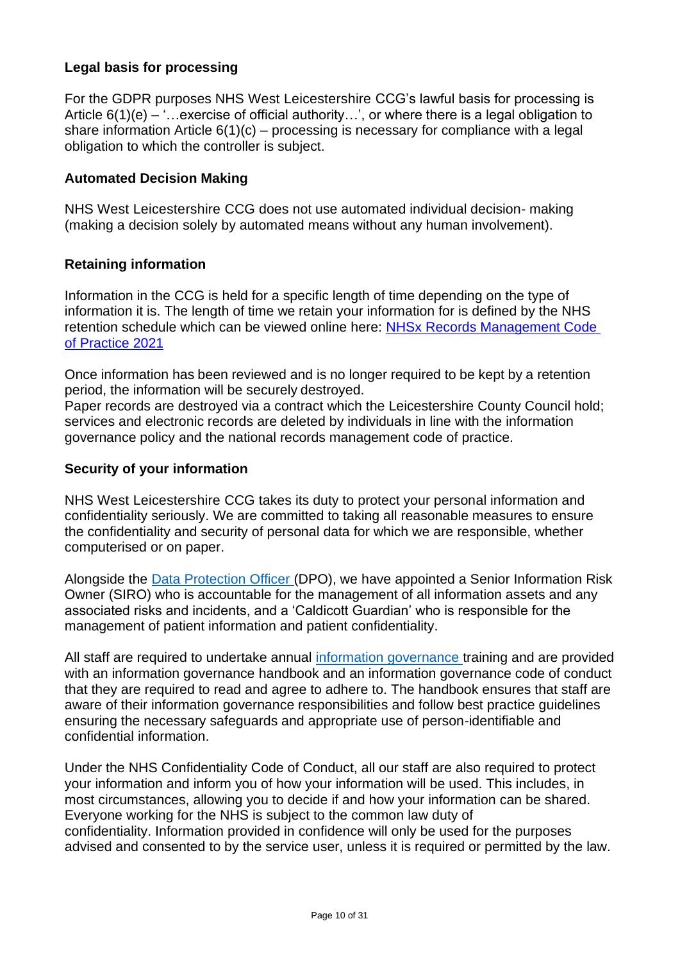#### **Legal basis for processing**

For the GDPR purposes NHS West Leicestershire CCG's lawful basis for processing is Article  $6(1)(e) -$  "...exercise of official authority...", or where there is a legal obligation to share information Article 6(1)(c) – processing is necessary for compliance with a legal obligation to which the controller is subject.

#### **Automated Decision Making**

NHS West Leicestershire CCG does not use automated individual decision- making (making a decision solely by automated means without any human involvement).

#### <span id="page-9-0"></span>**Retaining information**

Information in the CCG is held for a specific length of time depending on the type of information it is. The length of time we retain your information for is defined by the NHS retention schedule which can be viewed online here: [NHSx Records Management Code](https://www.nhsx.nhs.uk/information-governance/guidance/records-management-code/)  [of Practice 2021](https://www.nhsx.nhs.uk/information-governance/guidance/records-management-code/)

Once information has been reviewed and is no longer required to be kept by a retention period, the information will be securely destroyed.

Paper records are destroyed via a contract which the Leicestershire County Council hold; services and electronic records are deleted by individuals in line with the information governance policy and the national records management code of practice.

#### <span id="page-9-1"></span>**Security of your information**

NHS West Leicestershire CCG takes its duty to protect your personal information and confidentiality seriously. We are committed to taking all reasonable measures to ensure the confidentiality and security of personal data for which we are responsible, whether computerised or on paper.

Alongside the [Data Protection Officer \(](#page-6-1)DPO), we have appointed a Senior Information Risk Owner (SIRO) who is accountable for the management of all information assets and any associated risks and incidents, and a 'Caldicott Guardian' who is responsible for the management of patient information and patient confidentiality.

All staff are required to undertake annual [information governance t](https://www.england.nhs.uk/ig/about/)raining and are provided with an information governance handbook and an information governance code of conduct that they are required to read and agree to adhere to. The handbook ensures that staff are aware of their information governance responsibilities and follow best practice guidelines ensuring the necessary safeguards and appropriate use of person-identifiable and confidential information.

Under the NHS Confidentiality Code of Conduct, all our staff are also required to protect your information and inform you of how your information will be used. This includes, in most circumstances, allowing you to decide if and how your information can be shared. Everyone working for the NHS is subject to the common law duty of confidentiality. Information provided in confidence will only be used for the purposes advised and consented to by the service user, unless it is required or permitted by the law.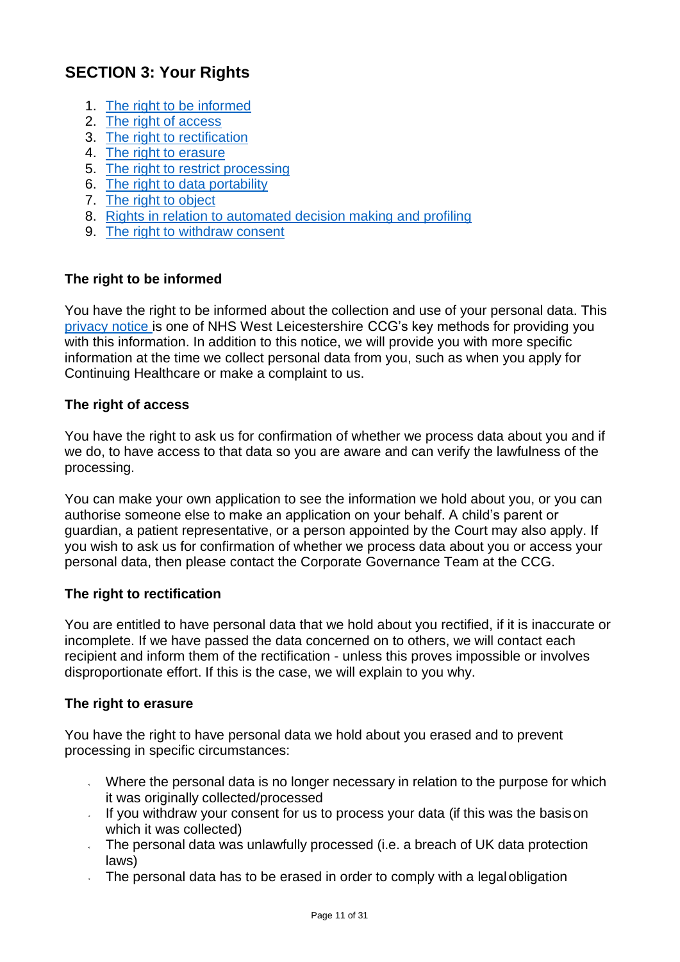## **SECTION 3: Your Rights**

- 1. [The right to be](#page-10-0) informed
- 2. [The right of access](#page-10-1)
- 3. [The right to rectification](#page-10-2)
- 4. [The right to](#page-10-3) erasure
- 5. [The right to restrict processing](#page-11-0)
- 6. [The right to data](#page-11-1) portability
- 7. [The right to](#page-11-2) object
- 8. [Rights in relation to automated decision making and](#page-12-0) profiling
- 9. [The right to withdraw](#page-12-1) consent

#### <span id="page-10-0"></span>**The right to be informed**

You have the right to be informed about the collection and use of your personal data. This [privacy notice i](#page-4-0)s one of NHS West Leicestershire CCG's key methods for providing you with this information. In addition to this notice, we will provide you with more specific information at the time we collect personal data from you, such as when you apply for Continuing Healthcare or make a complaint to us.

#### <span id="page-10-1"></span>**The right of access**

You have the right to ask us for confirmation of whether we process data about you and if we do, to have access to that data so you are aware and can verify the lawfulness of the processing.

You can make your own application to see the information we hold about you, or you can authorise someone else to make an application on your behalf. A child's parent or guardian, a patient representative, or a person appointed by the Court may also apply. If you wish to ask us for confirmation of whether we process data about you or access your personal data, then please contact the Corporate Governance Team at the CCG.

#### <span id="page-10-2"></span>**The right to rectification**

You are entitled to have personal data that we hold about you rectified, if it is inaccurate or incomplete. If we have passed the data concerned on to others, we will contact each recipient and inform them of the rectification - unless this proves impossible or involves disproportionate effort. If this is the case, we will explain to you why.

#### <span id="page-10-3"></span>**The right [to erasure](https://www.youtube.com/watch?v=x34icYC8zA0)**

You have the right to have personal data we hold about you erased and to prevent processing in specific circumstances:

- Where the personal data is no longer necessary in relation to the purpose for which it was originally collected/processed
- If you withdraw your consent for us to process your data (if this was the basison which it was collected)
- The personal data was unlawfully processed (i.e. a breach of UK data protection laws)
- The personal data has to be erased in order to comply with a legalobligation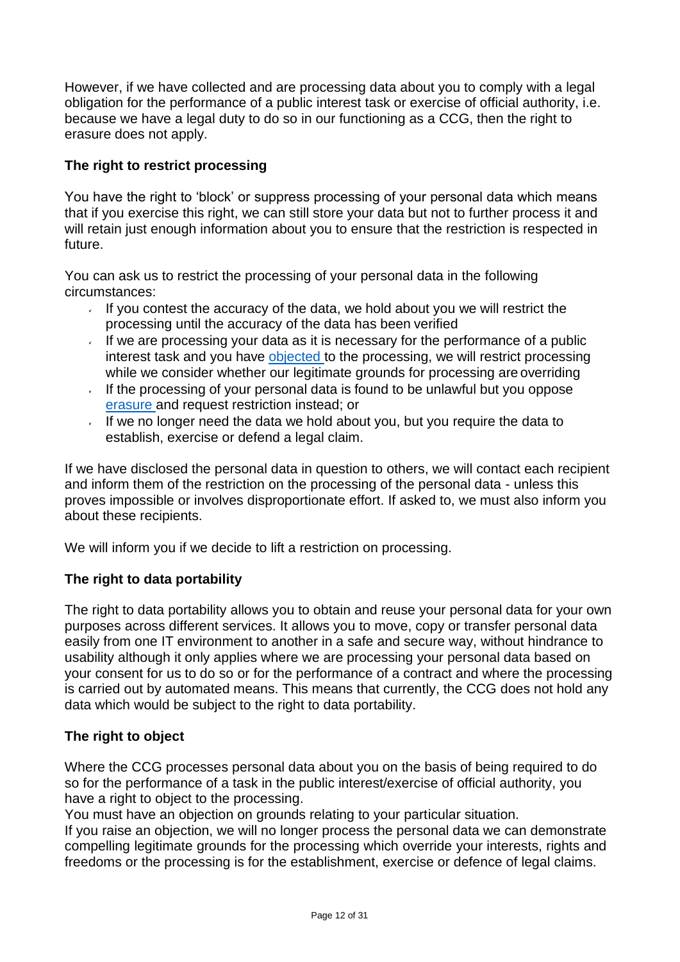However, if we have collected and are processing data about you to comply with a legal obligation for the performance of a public interest task or exercise of official authority, i.e. because we have a legal duty to do so in our functioning as a CCG, then the right to erasure does not apply.

#### <span id="page-11-0"></span>**The right to restrict processing**

You have the right to 'block' or suppress processing of your personal data which means that if you exercise this right, we can still store your data but not to further process it and will retain just enough information about you to ensure that the restriction is respected in future.

You can ask us to restrict the processing of your personal data in the following circumstances:

- If you contest the accuracy of the data, we hold about you we will restrict the processing until the accuracy of the data has been verified
- If we are processing your data as it is necessary for the performance of a public interest task and you have [objected t](#page-11-2)o the processing, we will restrict processing while we consider whether our legitimate grounds for processing are overriding
- If the processing of your personal data is found to be unlawful but you oppose [erasure a](#page-10-3)nd request restriction instead; or
- If we no longer need the data we hold about you, but you require the data to establish, exercise or defend a legal claim.

If we have disclosed the personal data in question to others, we will contact each recipient and inform them of the restriction on the processing of the personal data - unless this proves impossible or involves disproportionate effort. If asked to, we must also inform you about these recipients.

We will inform you if we decide to lift a restriction on processing.

#### <span id="page-11-1"></span>**The right to data portability**

The right to data portability allows you to obtain and reuse your personal data for your own purposes across different services. It allows you to move, copy or transfer personal data easily from one IT environment to another in a safe and secure way, without hindrance to usability although it only applies where we are processing your personal data based on your consent for us to do so or for the performance of a contract and where the processing is carried out by automated means. This means that currently, the CCG does not hold any data which would be subject to the right to data portability.

#### <span id="page-11-2"></span>**The right to object**

Where the CCG processes personal data about you on the basis of being required to do so for the performance of a task in the public interest/exercise of official authority, you have a right to object to the processing.

You must have an objection on grounds relating to your particular situation.

If you raise an objection, we will no longer process the personal data we can demonstrate compelling legitimate grounds for the processing which override your interests, rights and freedoms or the processing is for the establishment, exercise or defence of legal claims.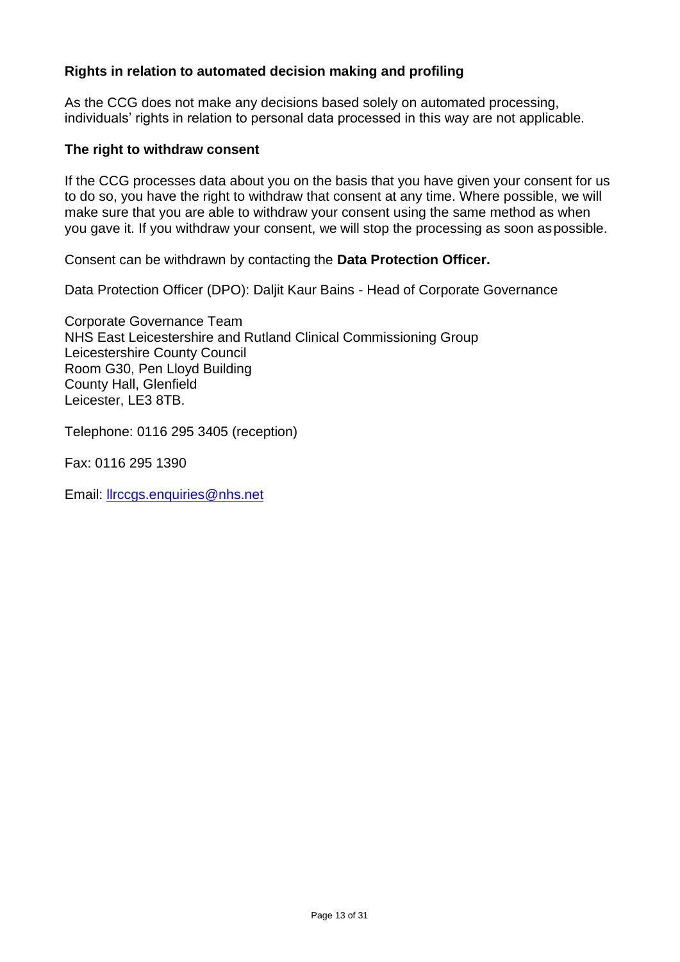#### <span id="page-12-0"></span>**Rights in relation to automated decision making and profiling**

As the CCG does not make any decisions based solely on automated processing, individuals' rights in relation to personal data processed in this way are not applicable.

#### <span id="page-12-1"></span>**The right to withdraw consent**

If the CCG processes data about you on the basis that you have given your consent for us to do so, you have the right to withdraw that consent at any time. Where possible, we will make sure that you are able to withdraw your consent using the same method as when you gave it. If you withdraw your consent, we will stop the processing as soon aspossible.

Consent can be withdrawn by contacting the **Data Protection Officer.**

Data Protection Officer (DPO): Daljit Kaur Bains - Head of Corporate Governance

Corporate Governance Team NHS East Leicestershire and Rutland Clinical Commissioning Group Leicestershire County Council Room G30, Pen Lloyd Building County Hall, Glenfield Leicester, LE3 8TB.

Telephone: 0116 295 3405 (reception)

Fax: 0116 295 1390

Email: [llrccgs.enquiries@nhs.net](mailto:llrccgs.enquiries@nhs.net)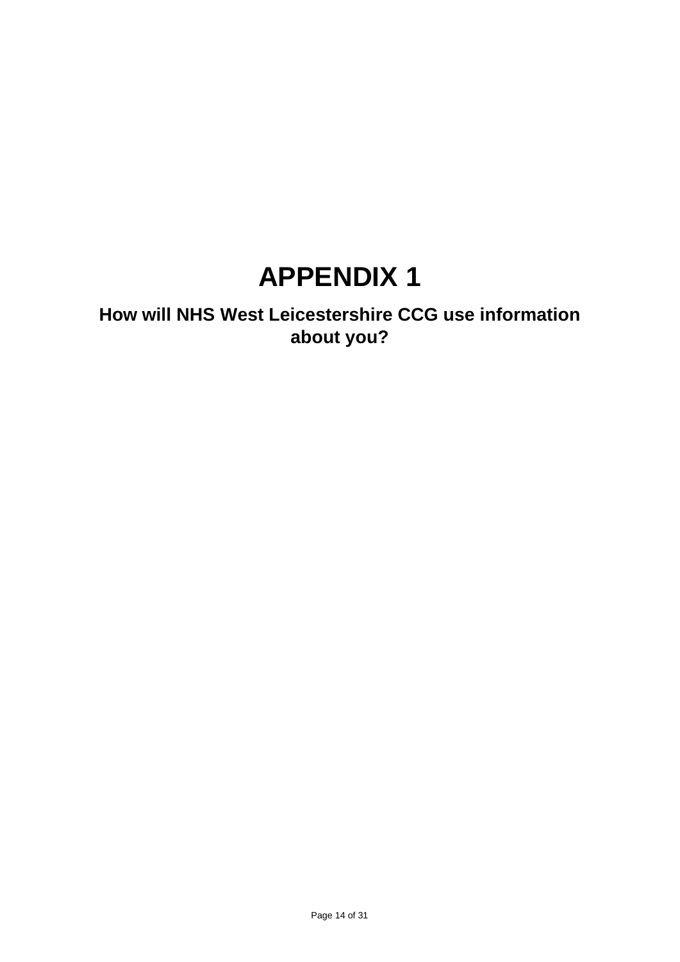## **APPENDIX 1**

## **How will NHS West Leicestershire CCG use information about you?**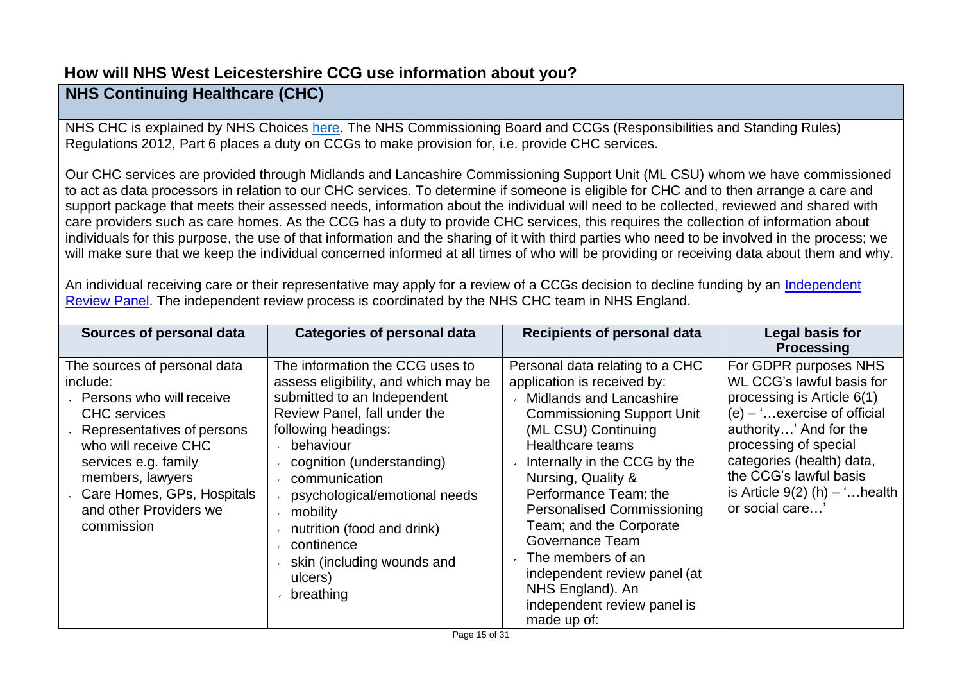## **How will NHS West Leicestershire CCG use information about you?**

## **NHS Continuing Healthcare (CHC)**

NHS CHC is explained by NHS Choices [here.](https://www.nhs.uk/conditions/social-care-and-support/nhs-continuing-care/) The NHS Commissioning Board and CCGs (Responsibilities and Standing Rules) Regulations 2012, Part 6 places a duty on CCGs to make provision for, i.e. provide CHC services.

Our CHC services are provided through Midlands and Lancashire Commissioning Support Unit (ML CSU) whom we have commissioned to act as data processors in relation to our CHC services. To determine if someone is eligible for CHC and to then arrange a care and support package that meets their assessed needs, information about the individual will need to be collected, reviewed and shared with care providers such as care homes. As the CCG has a duty to provide CHC services, this requires the collection of information about individuals for this purpose, the use of that information and the sharing of it with third parties who need to be involved in the process; we will make sure that we keep the individual concerned informed at all times of who will be providing or receiving data about them and why.

An individual receiving care or their representative may apply for a review of a CCGs decision to decline funding by an [Independent](https://www.england.nhs.uk/healthcare/) [Review Panel.](https://www.england.nhs.uk/healthcare/) The independent review process is coordinated by the NHS CHC team in NHS England.

| Sources of personal data                                                                                                                                                                                                                                            | <b>Categories of personal data</b>                                                                                                                                                                                                                                                                                                                                      | <b>Recipients of personal data</b>                                                                                                                                                                                                                                                                                                                                                                                                                                        | Legal basis for<br><b>Processing</b>                                                                                                                                                                                                                                                |
|---------------------------------------------------------------------------------------------------------------------------------------------------------------------------------------------------------------------------------------------------------------------|-------------------------------------------------------------------------------------------------------------------------------------------------------------------------------------------------------------------------------------------------------------------------------------------------------------------------------------------------------------------------|---------------------------------------------------------------------------------------------------------------------------------------------------------------------------------------------------------------------------------------------------------------------------------------------------------------------------------------------------------------------------------------------------------------------------------------------------------------------------|-------------------------------------------------------------------------------------------------------------------------------------------------------------------------------------------------------------------------------------------------------------------------------------|
| The sources of personal data<br>include:<br>Persons who will receive<br><b>CHC</b> services<br>Representatives of persons<br>who will receive CHC<br>services e.g. family<br>members, lawyers<br>Care Homes, GPs, Hospitals<br>and other Providers we<br>commission | The information the CCG uses to<br>assess eligibility, and which may be<br>submitted to an Independent<br>Review Panel, fall under the<br>following headings:<br>behaviour<br>cognition (understanding)<br>communication<br>psychological/emotional needs<br>mobility<br>nutrition (food and drink)<br>continence<br>skin (including wounds and<br>ulcers)<br>breathing | Personal data relating to a CHC<br>application is received by:<br><b>Midlands and Lancashire</b><br><b>Commissioning Support Unit</b><br>(ML CSU) Continuing<br>Healthcare teams<br>Internally in the CCG by the<br>Nursing, Quality &<br>Performance Team; the<br><b>Personalised Commissioning</b><br>Team; and the Corporate<br>Governance Team<br>The members of an<br>independent review panel (at<br>NHS England). An<br>independent review panel is<br>made up of: | For GDPR purposes NHS<br>WL CCG's lawful basis for<br>processing is Article 6(1)<br>$(e) -$ exercise of official<br>authority' And for the<br>processing of special<br>categories (health) data,<br>the CCG's lawful basis<br>is Article $9(2)$ (h) $-$ ' health<br>or social care' |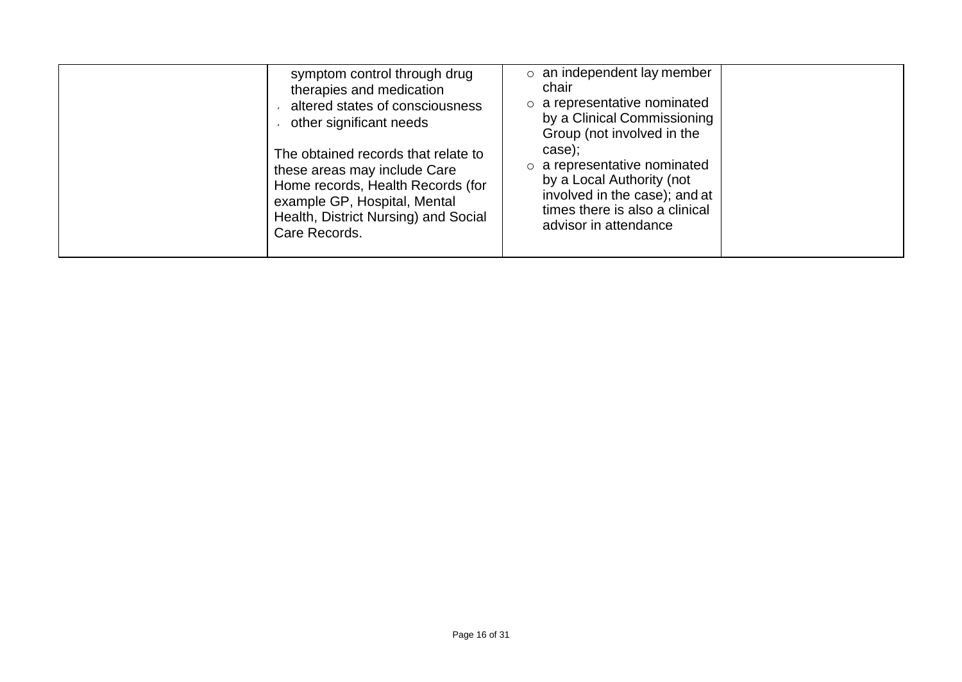| symptom control through drug<br>therapies and medication<br>altered states of consciousness<br>other significant needs<br>The obtained records that relate to<br>these areas may include Care<br>Home records, Health Records (for<br>example GP, Hospital, Mental<br>Health, District Nursing) and Social<br>Care Records. | $\circ$ an independent lay member<br>chair<br>o a representative nominated<br>by a Clinical Commissioning<br>Group (not involved in the<br>case);<br>$\circ$ a representative nominated<br>by a Local Authority (not<br>involved in the case); and at<br>times there is also a clinical<br>advisor in attendance |
|-----------------------------------------------------------------------------------------------------------------------------------------------------------------------------------------------------------------------------------------------------------------------------------------------------------------------------|------------------------------------------------------------------------------------------------------------------------------------------------------------------------------------------------------------------------------------------------------------------------------------------------------------------|
|-----------------------------------------------------------------------------------------------------------------------------------------------------------------------------------------------------------------------------------------------------------------------------------------------------------------------------|------------------------------------------------------------------------------------------------------------------------------------------------------------------------------------------------------------------------------------------------------------------------------------------------------------------|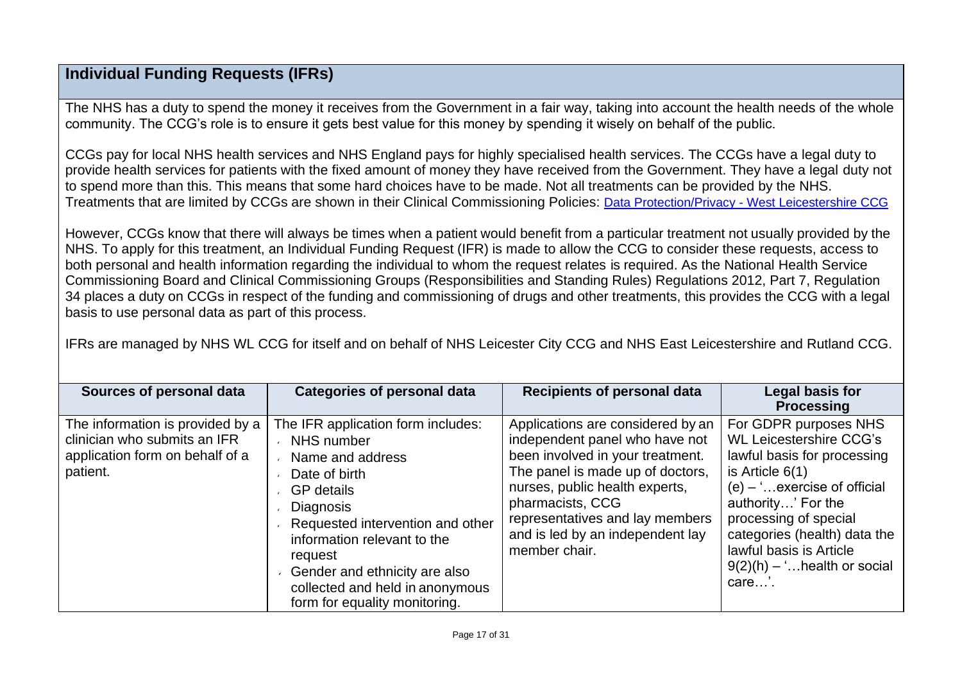## **Individual Funding Requests (IFRs)**

The NHS has a duty to spend the money it receives from the Government in a fair way, taking into account the health needs of the whole community. The CCG's role is to ensure it gets best value for this money by spending it wisely on behalf of the public.

CCGs pay for local NHS health services and NHS England pays for highly specialised health services. The CCGs have a legal duty to provide health services for patients with the fixed amount of money they have received from the Government. They have a legal duty not to spend more than this. This means that some hard choices have to be made. Not all treatments can be provided by the NHS. Treatments that are limited by CCGs are shown in their Clinical Commissioning Policies: Data Protection/Privacy - [West Leicestershire CCG](https://www.westleicestershireccg.nhs.uk/data-protection-privacy)

However, CCGs know that there will always be times when a patient would benefit from a particular treatment not usually provided by the NHS. To apply for this treatment, an Individual Funding Request (IFR) is made to allow the CCG to consider these requests, access to both personal and health information regarding the individual to whom the request relates is required. As the National Health Service Commissioning Board and Clinical Commissioning Groups (Responsibilities and Standing Rules) Regulations 2012, Part 7, Regulation 34 places a duty on CCGs in respect of the funding and commissioning of drugs and other treatments, this provides the CCG with a legal basis to use personal data as part of this process.

IFRs are managed by NHS WL CCG for itself and on behalf of NHS Leicester City CCG and NHS East Leicestershire and Rutland CCG.

| Sources of personal data                                                                                        | <b>Categories of personal data</b>                                                                                                                                                                                                                                                                                | <b>Recipients of personal data</b>                                                                                                                                                                                                                                                        | Legal basis for<br><b>Processing</b>                                                                                                                                                                                                                                                            |
|-----------------------------------------------------------------------------------------------------------------|-------------------------------------------------------------------------------------------------------------------------------------------------------------------------------------------------------------------------------------------------------------------------------------------------------------------|-------------------------------------------------------------------------------------------------------------------------------------------------------------------------------------------------------------------------------------------------------------------------------------------|-------------------------------------------------------------------------------------------------------------------------------------------------------------------------------------------------------------------------------------------------------------------------------------------------|
| The information is provided by a<br>clinician who submits an IFR<br>application form on behalf of a<br>patient. | The IFR application form includes:<br>NHS number<br>Name and address<br>Date of birth<br><b>GP</b> details<br><b>Diagnosis</b><br>Requested intervention and other<br>information relevant to the<br>request<br>Gender and ethnicity are also<br>collected and held in anonymous<br>form for equality monitoring. | Applications are considered by an<br>independent panel who have not<br>been involved in your treatment.<br>The panel is made up of doctors,<br>nurses, public health experts,<br>pharmacists, CCG<br>representatives and lay members<br>and is led by an independent lay<br>member chair. | For GDPR purposes NHS<br><b>WL Leicestershire CCG's</b><br>lawful basis for processing<br>is Article $6(1)$<br>$(e) -$ exercise of official<br>authority' For the<br>processing of special<br>categories (health) data the<br>lawful basis is Article<br>$9(2)(h) -$ health or social<br>care'. |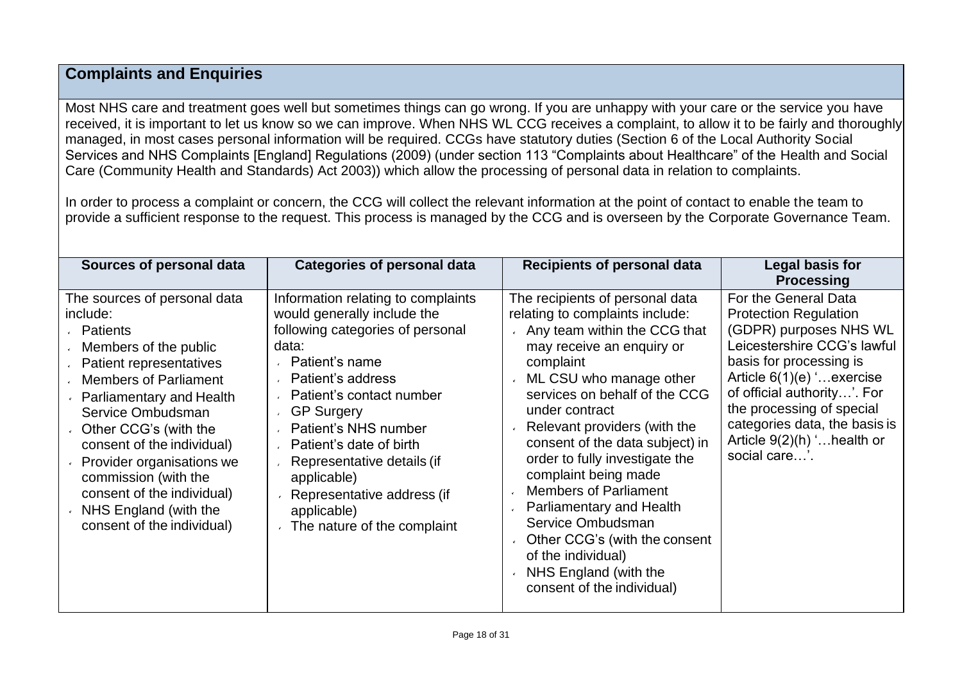## **Complaints and Enquiries**

Most NHS care and treatment goes well but sometimes things can go wrong. If you are unhappy with your care or the service you have received, it is important to let us know so we can improve. When NHS WL CCG receives a complaint, to allow it to be fairly and thoroughly managed, in most cases personal information will be required. CCGs have statutory duties (Section 6 of the Local Authority Social Services and NHS Complaints [England] Regulations (2009) (under section 113 "Complaints about Healthcare" of the Health and Social Care (Community Health and Standards) Act 2003)) which allow the processing of personal data in relation to complaints.

In order to process a complaint or concern, the CCG will collect the relevant information at the point of contact to enable the team to provide a sufficient response to the request. This process is managed by the CCG and is overseen by the Corporate Governance Team.

| Legal basis for<br>Sources of personal data<br><b>Categories of personal data</b><br><b>Recipients of personal data</b><br><b>Processing</b><br>For the General Data<br>The sources of personal data<br>The recipients of personal data<br>Information relating to complaints<br><b>Protection Regulation</b><br>would generally include the<br>relating to complaints include:<br>include:<br>(GDPR) purposes NHS WL<br>following categories of personal<br>Any team within the CCG that<br>Patients<br>Leicestershire CCG's lawful<br>may receive an enquiry or<br>data:<br>Members of the public<br>basis for processing is<br>Patient's name<br>complaint<br>Patient representatives<br>Article $6(1)(e)$ ' exercise<br>Patient's address<br><b>Members of Parliament</b><br>ML CSU who manage other<br>$\epsilon$<br>of official authority'. For<br>services on behalf of the CCG<br>Patient's contact number<br><b>Parliamentary and Health</b><br>the processing of special<br>under contract<br>Service Ombudsman<br><b>GP Surgery</b><br>$\epsilon$<br>categories data, the basis is<br>Relevant providers (with the<br>Patient's NHS number<br>Other CCG's (with the<br>Article 9(2)(h) ' health or<br>consent of the data subject) in<br>consent of the individual)<br>Patient's date of birth<br>social care'.<br>order to fully investigate the<br>Provider organisations we<br>Representative details (if<br>complaint being made<br>commission (with the<br>applicable)<br><b>Members of Parliament</b><br>consent of the individual)<br>Representative address (if<br><b>Parliamentary and Health</b><br>NHS England (with the<br>applicable)<br>Service Ombudsman<br>consent of the individual)<br>The nature of the complaint<br>Other CCG's (with the consent<br>of the individual)<br>NHS England (with the<br>consent of the individual) |  |  |
|---------------------------------------------------------------------------------------------------------------------------------------------------------------------------------------------------------------------------------------------------------------------------------------------------------------------------------------------------------------------------------------------------------------------------------------------------------------------------------------------------------------------------------------------------------------------------------------------------------------------------------------------------------------------------------------------------------------------------------------------------------------------------------------------------------------------------------------------------------------------------------------------------------------------------------------------------------------------------------------------------------------------------------------------------------------------------------------------------------------------------------------------------------------------------------------------------------------------------------------------------------------------------------------------------------------------------------------------------------------------------------------------------------------------------------------------------------------------------------------------------------------------------------------------------------------------------------------------------------------------------------------------------------------------------------------------------------------------------------------------------------------------------------------------------------------------------------------------------------------|--|--|
|                                                                                                                                                                                                                                                                                                                                                                                                                                                                                                                                                                                                                                                                                                                                                                                                                                                                                                                                                                                                                                                                                                                                                                                                                                                                                                                                                                                                                                                                                                                                                                                                                                                                                                                                                                                                                                                               |  |  |
|                                                                                                                                                                                                                                                                                                                                                                                                                                                                                                                                                                                                                                                                                                                                                                                                                                                                                                                                                                                                                                                                                                                                                                                                                                                                                                                                                                                                                                                                                                                                                                                                                                                                                                                                                                                                                                                               |  |  |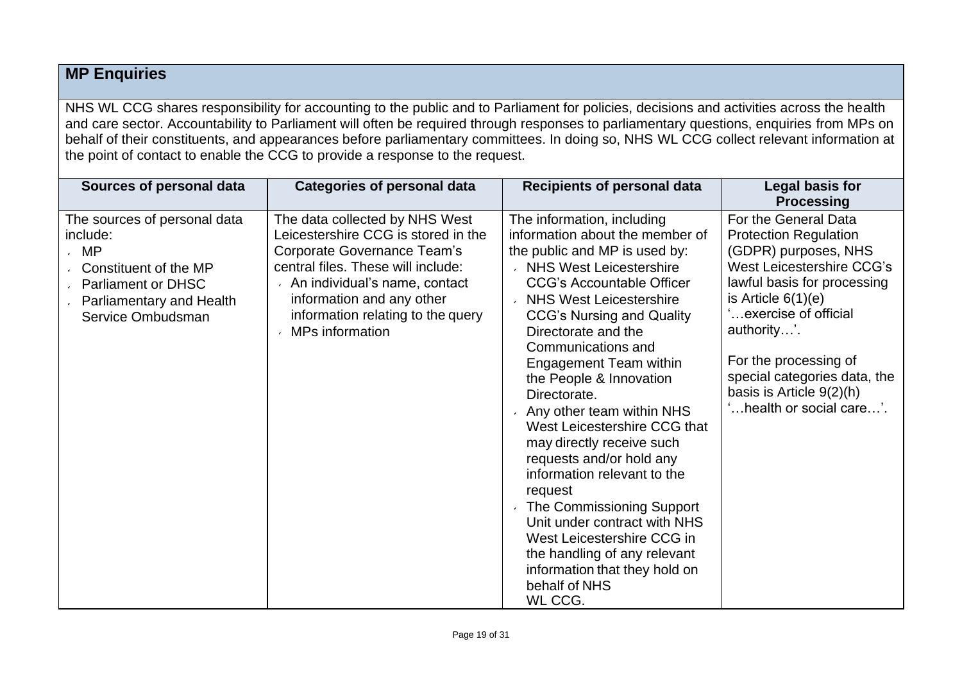## **MP Enquiries**

NHS WL CCG shares responsibility for accounting to the public and to Parliament for policies, decisions and activities across the health and care sector. Accountability to Parliament will often be required through responses to parliamentary questions, enquiries from MPs on behalf of their constituents, and appearances before parliamentary committees. In doing so, NHS WL CCG collect relevant information at the point of contact to enable the CCG to provide a response to the request.

| Sources of personal data                                                                                                                                 | <b>Categories of personal data</b>                                                                                                                                                                                                                               | <b>Recipients of personal data</b>                                                                                                                                                                                                                                                                                                                                                                                                                                                                                                                                                                                                                                                                                   | Legal basis for<br><b>Processing</b>                                                                                                                                                                                                                                                                                      |
|----------------------------------------------------------------------------------------------------------------------------------------------------------|------------------------------------------------------------------------------------------------------------------------------------------------------------------------------------------------------------------------------------------------------------------|----------------------------------------------------------------------------------------------------------------------------------------------------------------------------------------------------------------------------------------------------------------------------------------------------------------------------------------------------------------------------------------------------------------------------------------------------------------------------------------------------------------------------------------------------------------------------------------------------------------------------------------------------------------------------------------------------------------------|---------------------------------------------------------------------------------------------------------------------------------------------------------------------------------------------------------------------------------------------------------------------------------------------------------------------------|
| The sources of personal data<br>include:<br>$\cdot$ MP<br>Constituent of the MP<br>↓ Parliament or DHSC<br>Parliamentary and Health<br>Service Ombudsman | The data collected by NHS West<br>Leicestershire CCG is stored in the<br>Corporate Governance Team's<br>central files. These will include:<br>An individual's name, contact<br>information and any other<br>information relating to the query<br>MPs information | The information, including<br>information about the member of<br>the public and MP is used by:<br>NHS West Leicestershire<br><b>CCG's Accountable Officer</b><br><b>NHS West Leicestershire</b><br><b>CCG's Nursing and Quality</b><br>Directorate and the<br>Communications and<br><b>Engagement Team within</b><br>the People & Innovation<br>Directorate.<br>Any other team within NHS<br>West Leicestershire CCG that<br>may directly receive such<br>requests and/or hold any<br>information relevant to the<br>request<br>The Commissioning Support<br>Unit under contract with NHS<br>West Leicestershire CCG in<br>the handling of any relevant<br>information that they hold on<br>behalf of NHS<br>WL CCG. | For the General Data<br><b>Protection Regulation</b><br>(GDPR) purposes, NHS<br>West Leicestershire CCG's<br>lawful basis for processing<br>is Article $6(1)(e)$<br>exercise of official<br>authority'.<br>For the processing of<br>special categories data, the<br>basis is Article $9(2)(h)$<br>health or social care'. |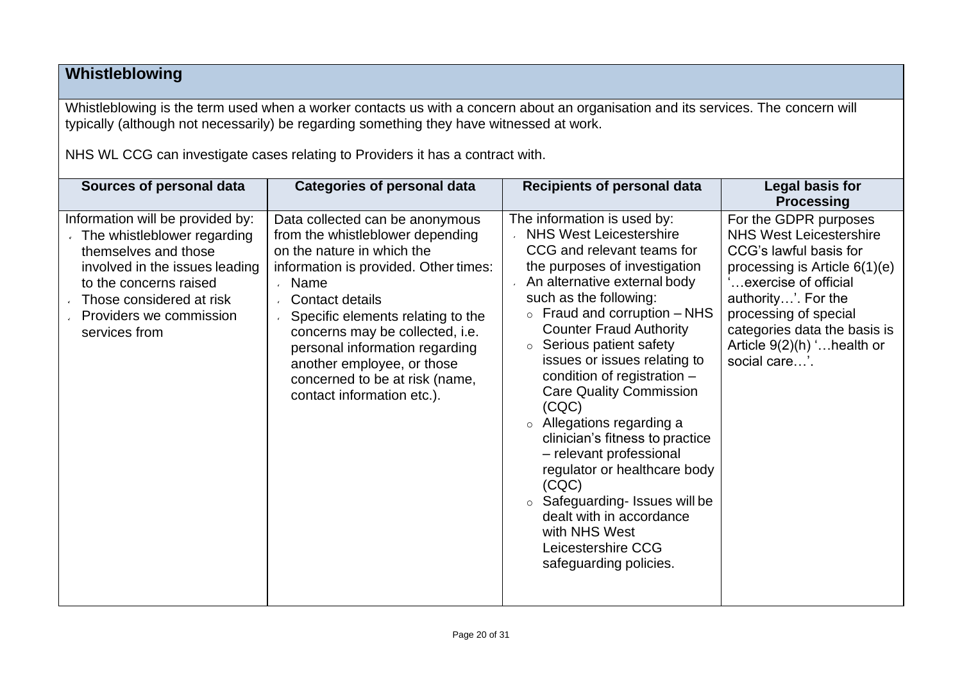## **Whistleblowing**

Whistleblowing is the term used when a worker contacts us with a concern about an organisation and its services. The concern will typically (although not necessarily) be regarding something they have witnessed at work.

NHS WL CCG can investigate cases relating to Providers it has a contract with.

| Sources of personal data                                                                                                                                                                                                    | <b>Categories of personal data</b>                                                                                                                                                                                                                                                                                                                                                            | <b>Recipients of personal data</b>                                                                                                                                                                                                                                                                                                                                                                                                                                                                                                                                                                                                                                              | Legal basis for<br><b>Processing</b>                                                                                                                                                                                                                                         |
|-----------------------------------------------------------------------------------------------------------------------------------------------------------------------------------------------------------------------------|-----------------------------------------------------------------------------------------------------------------------------------------------------------------------------------------------------------------------------------------------------------------------------------------------------------------------------------------------------------------------------------------------|---------------------------------------------------------------------------------------------------------------------------------------------------------------------------------------------------------------------------------------------------------------------------------------------------------------------------------------------------------------------------------------------------------------------------------------------------------------------------------------------------------------------------------------------------------------------------------------------------------------------------------------------------------------------------------|------------------------------------------------------------------------------------------------------------------------------------------------------------------------------------------------------------------------------------------------------------------------------|
| Information will be provided by:<br>The whistleblower regarding<br>themselves and those<br>involved in the issues leading<br>to the concerns raised<br>Those considered at risk<br>Providers we commission<br>services from | Data collected can be anonymous<br>from the whistleblower depending<br>on the nature in which the<br>information is provided. Other times:<br>Name<br>$\mathbf{r}$<br>Contact details<br>Specific elements relating to the<br>concerns may be collected, i.e.<br>personal information regarding<br>another employee, or those<br>concerned to be at risk (name,<br>contact information etc.). | The information is used by:<br><b>NHS West Leicestershire</b><br>CCG and relevant teams for<br>the purposes of investigation<br>An alternative external body<br>such as the following:<br>Fraud and corruption - NHS<br>$\circ$<br><b>Counter Fraud Authority</b><br>Serious patient safety<br>$\circ$<br>issues or issues relating to<br>condition of registration -<br><b>Care Quality Commission</b><br>(CQC)<br>Allegations regarding a<br>clinician's fitness to practice<br>- relevant professional<br>regulator or healthcare body<br>(CQC)<br>Safeguarding- Issues will be<br>dealt with in accordance<br>with NHS West<br>Leicestershire CCG<br>safeguarding policies. | For the GDPR purposes<br><b>NHS West Leicestershire</b><br>CCG's lawful basis for<br>processing is Article $6(1)(e)$<br>exercise of official<br>authority'. For the<br>processing of special<br>categories data the basis is<br>Article 9(2)(h) ' health or<br>social care'. |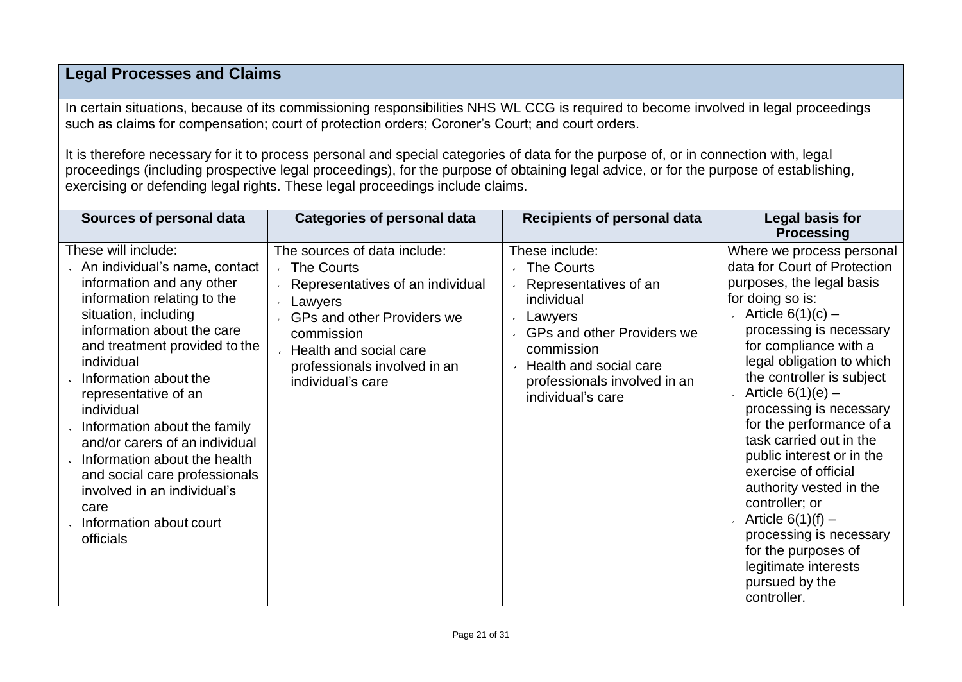## **Legal Processes and Claims**

In certain situations, because of its commissioning responsibilities NHS WL CCG is required to become involved in legal proceedings such as claims for compensation; court of protection orders; Coroner's Court; and court orders.

It is therefore necessary for it to process personal and special categories of data for the purpose of, or in connection with, legal proceedings (including prospective legal proceedings), for the purpose of obtaining legal advice, or for the purpose of establishing, exercising or defending legal rights. These legal proceedings include claims.

| Sources of personal data                                                                                                                                                                                                                                                                                                                                                                                                                                                                               | <b>Categories of personal data</b>                                                                                                                                                                                                 | <b>Recipients of personal data</b>                                                                                                                                                                                      | Legal basis for<br><b>Processing</b>                                                                                                                                                                                                                                                                                                                                                                                                                                                                                                                                                         |
|--------------------------------------------------------------------------------------------------------------------------------------------------------------------------------------------------------------------------------------------------------------------------------------------------------------------------------------------------------------------------------------------------------------------------------------------------------------------------------------------------------|------------------------------------------------------------------------------------------------------------------------------------------------------------------------------------------------------------------------------------|-------------------------------------------------------------------------------------------------------------------------------------------------------------------------------------------------------------------------|----------------------------------------------------------------------------------------------------------------------------------------------------------------------------------------------------------------------------------------------------------------------------------------------------------------------------------------------------------------------------------------------------------------------------------------------------------------------------------------------------------------------------------------------------------------------------------------------|
| These will include:<br>An individual's name, contact<br>information and any other<br>information relating to the<br>situation, including<br>information about the care<br>and treatment provided to the<br>individual<br>Information about the<br>representative of an<br>individual<br>Information about the family<br>and/or carers of an individual<br>Information about the health<br>and social care professionals<br>involved in an individual's<br>care<br>Information about court<br>officials | The sources of data include:<br><b>The Courts</b><br>Representatives of an individual<br>Lawyers<br><b>GPs and other Providers we</b><br>commission<br>Health and social care<br>professionals involved in an<br>individual's care | These include:<br><b>The Courts</b><br>Representatives of an<br>individual<br>Lawyers<br><b>GPs and other Providers we</b><br>commission<br>Health and social care<br>professionals involved in an<br>individual's care | Where we process personal<br>data for Court of Protection<br>purposes, the legal basis<br>for doing so is:<br>Article $6(1)(c)$ –<br>processing is necessary<br>for compliance with a<br>legal obligation to which<br>the controller is subject<br>Article $6(1)(e)$ –<br>processing is necessary<br>for the performance of a<br>task carried out in the<br>public interest or in the<br>exercise of official<br>authority vested in the<br>controller; or<br>Article $6(1)(f)$ –<br>processing is necessary<br>for the purposes of<br>legitimate interests<br>pursued by the<br>controller. |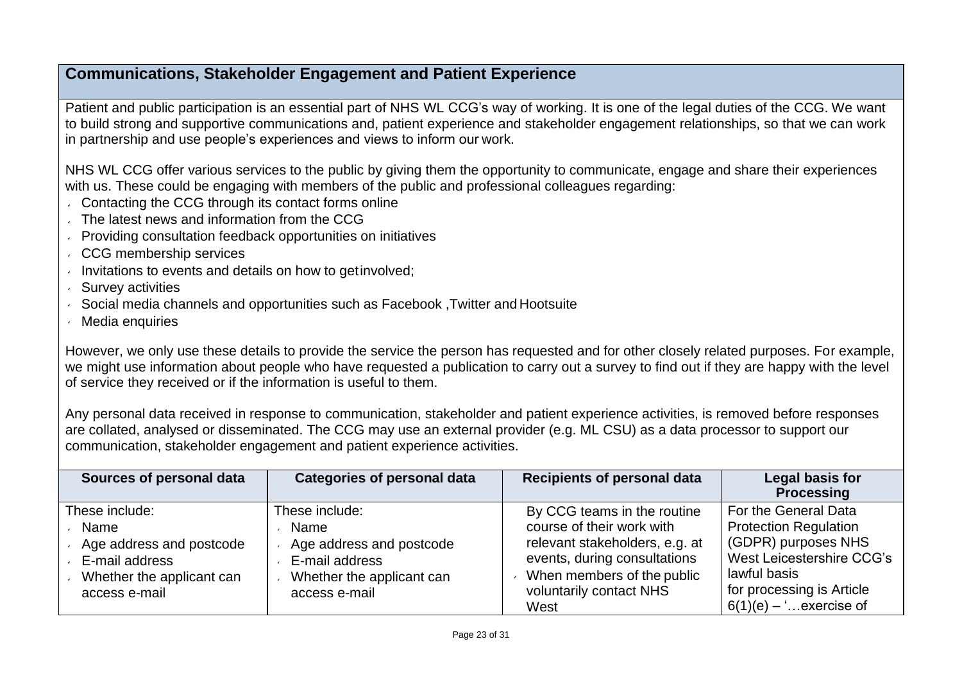## **Communications, Stakeholder Engagement and Patient Experience**

Patient and public participation is an essential part of NHS WL CCG's way of working. It is one of the legal duties of the CCG. We want to build strong and supportive communications and, patient experience and stakeholder engagement relationships, so that we can work in partnership and use people's experiences and views to inform our work.

NHS WL CCG offer various services to the public by giving them the opportunity to communicate, engage and share their experiences with us. These could be engaging with members of the public and professional colleagues regarding:

- **Contacting the CCG through its contact forms online**
- The latest news and information from the CCG
- Providing consultation feedback opportunities on initiatives
- CCG membership services
- $\cdot$  Invitations to events and details on how to get involved;
- Survey activities
- Social media channels and opportunities such as Facebook ,Twitter and Hootsuite
- Media enquiries

However, we only use these details to provide the service the person has requested and for other closely related purposes. For example, we might use information about people who have requested a publication to carry out a survey to find out if they are happy with the level of service they received or if the information is useful to them.

Any personal data received in response to communication, stakeholder and patient experience activities, is removed before responses are collated, analysed or disseminated. The CCG may use an external provider (e.g. ML CSU) as a data processor to support our communication, stakeholder engagement and patient experience activities.

| Sources of personal data                                                                                           | <b>Categories of personal data</b>                                                                                 | <b>Recipients of personal data</b>                                                                                                                                                          | Legal basis for<br><b>Processing</b>                                                                                                                                             |
|--------------------------------------------------------------------------------------------------------------------|--------------------------------------------------------------------------------------------------------------------|---------------------------------------------------------------------------------------------------------------------------------------------------------------------------------------------|----------------------------------------------------------------------------------------------------------------------------------------------------------------------------------|
| These include:<br>Name<br>Age address and postcode<br>E-mail address<br>Whether the applicant can<br>access e-mail | These include:<br>Name<br>Age address and postcode<br>E-mail address<br>Whether the applicant can<br>access e-mail | By CCG teams in the routine<br>course of their work with<br>relevant stakeholders, e.g. at<br>events, during consultations<br>When members of the public<br>voluntarily contact NHS<br>West | For the General Data<br><b>Protection Regulation</b><br>(GDPR) purposes NHS<br>West Leicestershire CCG's<br>lawful basis<br>for processing is Article<br>$6(1)(e) -$ exercise of |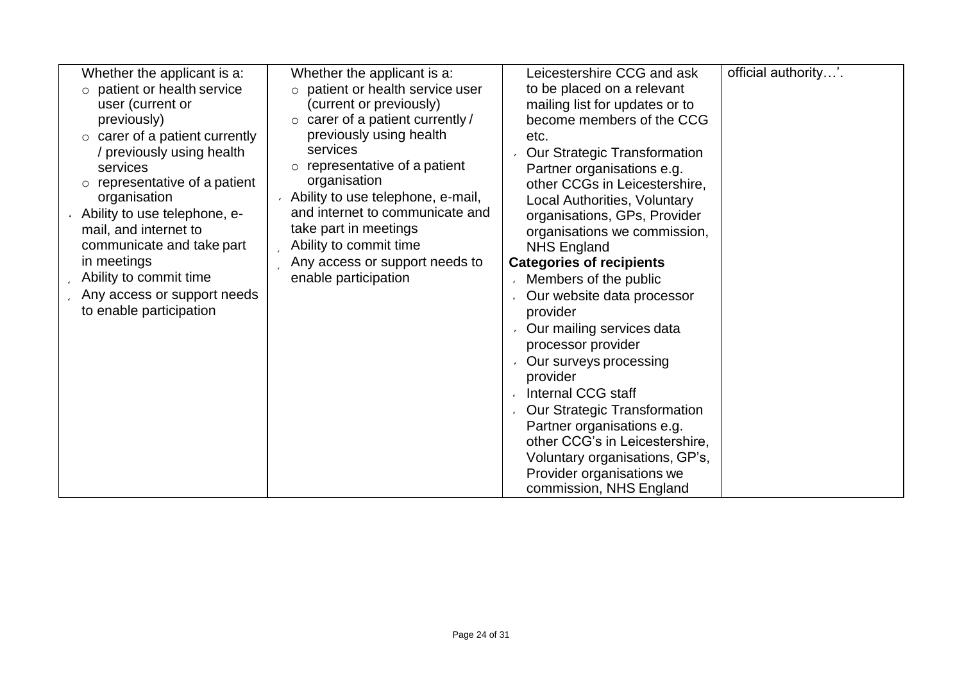| Whether the applicant is a:          | Whether the applicant is a:            | Leicestershire CCG and ask          | official authority'. |
|--------------------------------------|----------------------------------------|-------------------------------------|----------------------|
| patient or health service<br>$\circ$ | $\circ$ patient or health service user | to be placed on a relevant          |                      |
| user (current or                     | (current or previously)                | mailing list for updates or to      |                      |
| previously)                          | $\circ$ carer of a patient currently / | become members of the CCG           |                      |
| $\circ$ carer of a patient currently | previously using health                | etc.                                |                      |
| / previously using health            | services                               | <b>Our Strategic Transformation</b> |                      |
| services                             | representative of a patient<br>$\circ$ | Partner organisations e.g.          |                      |
| $\circ$ representative of a patient  | organisation                           | other CCGs in Leicestershire,       |                      |
| organisation                         | Ability to use telephone, e-mail,      | Local Authorities, Voluntary        |                      |
| Ability to use telephone, e-         | and internet to communicate and        | organisations, GPs, Provider        |                      |
| mail, and internet to                | take part in meetings                  | organisations we commission,        |                      |
| communicate and take part            | Ability to commit time                 | <b>NHS England</b>                  |                      |
| in meetings                          | Any access or support needs to         | <b>Categories of recipients</b>     |                      |
| Ability to commit time               | enable participation                   | Members of the public               |                      |
| Any access or support needs          |                                        | Our website data processor          |                      |
| to enable participation              |                                        | provider                            |                      |
|                                      |                                        | Our mailing services data           |                      |
|                                      |                                        | processor provider                  |                      |
|                                      |                                        | Our surveys processing              |                      |
|                                      |                                        | provider                            |                      |
|                                      |                                        | ↓ Internal CCG staff                |                      |
|                                      |                                        | Our Strategic Transformation        |                      |
|                                      |                                        | Partner organisations e.g.          |                      |
|                                      |                                        | other CCG's in Leicestershire,      |                      |
|                                      |                                        | Voluntary organisations, GP's,      |                      |
|                                      |                                        | Provider organisations we           |                      |
|                                      |                                        | commission, NHS England             |                      |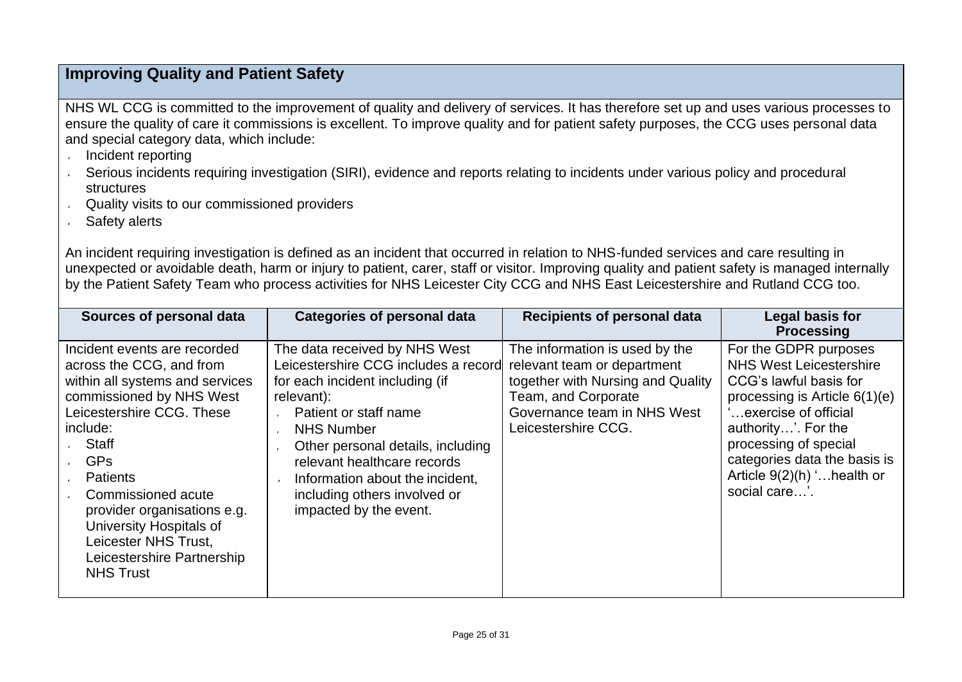## **Improving Quality and Patient Safety**

NHS WL CCG is committed to the improvement of quality and delivery of services. It has therefore set up and uses various processes to ensure the quality of care it commissions is excellent. To improve quality and for patient safety purposes, the CCG uses personal data and special category data, which include:

- Incident reporting  $\mathbf{v}$
- Serious incidents requiring investigation (SIRI), evidence and reports relating to incidents under various policy and procedural **structures**
- Quality visits to our commissioned providers  $\mathbf{v}$
- Safety alerts

An incident requiring investigation is defined as an incident that occurred in relation to NHS-funded services and care resulting in unexpected or avoidable death, harm or injury to patient, carer, staff or visitor. Improving quality and patient safety is managed internally by the Patient Safety Team who process activities for NHS Leicester City CCG and NHS East Leicestershire and Rutland CCG too.

| Sources of personal data                                                                                                                                                                                                                                                                                                                                             | <b>Categories of personal data</b>                                                                                                                                                                                                                                                                                                    | <b>Recipients of personal data</b>                                                                                                                                              | Legal basis for<br><b>Processing</b>                                                                                                                                                                                                                                         |
|----------------------------------------------------------------------------------------------------------------------------------------------------------------------------------------------------------------------------------------------------------------------------------------------------------------------------------------------------------------------|---------------------------------------------------------------------------------------------------------------------------------------------------------------------------------------------------------------------------------------------------------------------------------------------------------------------------------------|---------------------------------------------------------------------------------------------------------------------------------------------------------------------------------|------------------------------------------------------------------------------------------------------------------------------------------------------------------------------------------------------------------------------------------------------------------------------|
| Incident events are recorded<br>across the CCG, and from<br>within all systems and services<br>commissioned by NHS West<br>Leicestershire CCG. These<br>include:<br>Staff<br><b>GPs</b><br><b>Patients</b><br>Commissioned acute<br>provider organisations e.g.<br>University Hospitals of<br>Leicester NHS Trust,<br>Leicestershire Partnership<br><b>NHS Trust</b> | The data received by NHS West<br>Leicestershire CCG includes a record<br>for each incident including (if<br>relevant):<br>Patient or staff name<br><b>NHS Number</b><br>Other personal details, including<br>relevant healthcare records<br>Information about the incident,<br>including others involved or<br>impacted by the event. | The information is used by the<br>relevant team or department<br>together with Nursing and Quality<br>Team, and Corporate<br>Governance team in NHS West<br>Leicestershire CCG. | For the GDPR purposes<br><b>NHS West Leicestershire</b><br>CCG's lawful basis for<br>processing is Article $6(1)(e)$<br>exercise of official<br>authority'. For the<br>processing of special<br>categories data the basis is<br>Article 9(2)(h) ' health or<br>social care'. |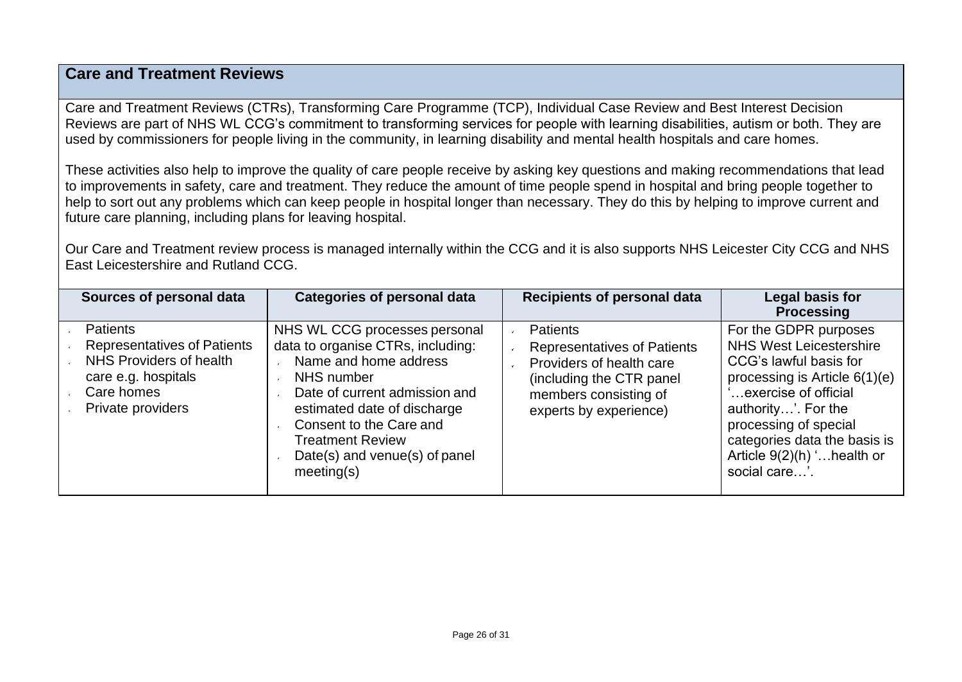## **Care and Treatment Reviews**

Care and Treatment Reviews (CTRs), Transforming Care Programme (TCP), Individual Case Review and Best Interest Decision Reviews are part of NHS WL CCG's commitment to transforming services for people with learning disabilities, autism or both. They are used by commissioners for people living in the community, in learning disability and mental health hospitals and care homes.

These activities also help to improve the quality of care people receive by asking key questions and making recommendations that lead to improvements in safety, care and treatment. They reduce the amount of time people spend in hospital and bring people together to help to sort out any problems which can keep people in hospital longer than necessary. They do this by helping to improve current and future care planning, including plans for leaving hospital.

Our Care and Treatment review process is managed internally within the CCG and it is also supports NHS Leicester City CCG and NHS East Leicestershire and Rutland CCG.

| Sources of personal data                                                                                                                   | <b>Categories of personal data</b>                                                                                                                                                                                                                                             | <b>Recipients of personal data</b>                                                                                                                                | Legal basis for<br><b>Processing</b>                                                                                                                                                                                                                                         |
|--------------------------------------------------------------------------------------------------------------------------------------------|--------------------------------------------------------------------------------------------------------------------------------------------------------------------------------------------------------------------------------------------------------------------------------|-------------------------------------------------------------------------------------------------------------------------------------------------------------------|------------------------------------------------------------------------------------------------------------------------------------------------------------------------------------------------------------------------------------------------------------------------------|
| <b>Patients</b><br><b>Representatives of Patients</b><br>NHS Providers of health<br>care e.g. hospitals<br>Care homes<br>Private providers | NHS WL CCG processes personal<br>data to organise CTRs, including:<br>Name and home address<br>NHS number<br>Date of current admission and<br>estimated date of discharge<br>Consent to the Care and<br><b>Treatment Review</b><br>Date(s) and venue(s) of panel<br>meeting(s) | <b>Patients</b><br><b>Representatives of Patients</b><br>Providers of health care<br>(including the CTR panel)<br>members consisting of<br>experts by experience) | For the GDPR purposes<br><b>NHS West Leicestershire</b><br>CCG's lawful basis for<br>processing is Article $6(1)(e)$<br>exercise of official<br>authority'. For the<br>processing of special<br>categories data the basis is<br>Article 9(2)(h) ' health or<br>social care'. |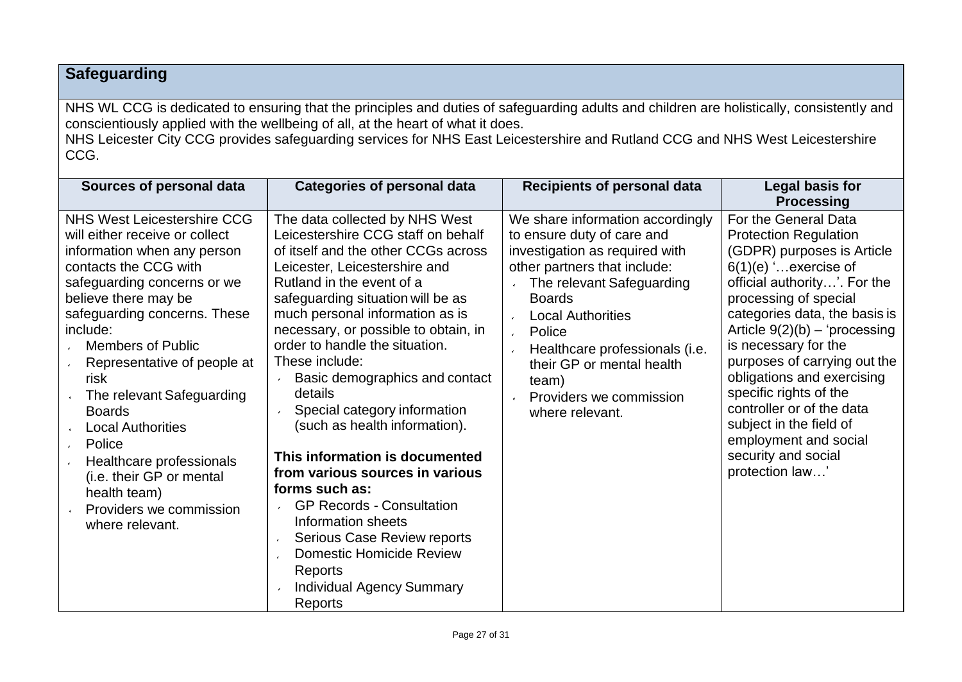## **Safeguarding**

NHS WL CCG is dedicated to ensuring that the principles and duties of safeguarding adults and children are holistically, consistently and conscientiously applied with the wellbeing of all, at the heart of what it does.

NHS Leicester City CCG provides safeguarding services for NHS East Leicestershire and Rutland CCG and NHS West Leicestershire CCG.

| Sources of personal data                                                                                                                                                                                                                                                                                                                                                                                                                                                                                     | <b>Categories of personal data</b>                                                                                                                                                                                                                                                                                                                                                                                                                                                                                                                                                                                                                                                                                                                                       | <b>Recipients of personal data</b>                                                                                                                                                                                                                                                                                                                                                         | Legal basis for<br><b>Processing</b>                                                                                                                                                                                                                                                                                                                                                                                                                                                |
|--------------------------------------------------------------------------------------------------------------------------------------------------------------------------------------------------------------------------------------------------------------------------------------------------------------------------------------------------------------------------------------------------------------------------------------------------------------------------------------------------------------|--------------------------------------------------------------------------------------------------------------------------------------------------------------------------------------------------------------------------------------------------------------------------------------------------------------------------------------------------------------------------------------------------------------------------------------------------------------------------------------------------------------------------------------------------------------------------------------------------------------------------------------------------------------------------------------------------------------------------------------------------------------------------|--------------------------------------------------------------------------------------------------------------------------------------------------------------------------------------------------------------------------------------------------------------------------------------------------------------------------------------------------------------------------------------------|-------------------------------------------------------------------------------------------------------------------------------------------------------------------------------------------------------------------------------------------------------------------------------------------------------------------------------------------------------------------------------------------------------------------------------------------------------------------------------------|
| <b>NHS West Leicestershire CCG</b><br>will either receive or collect<br>information when any person<br>contacts the CCG with<br>safeguarding concerns or we<br>believe there may be<br>safeguarding concerns. These<br>include:<br><b>Members of Public</b><br>Representative of people at<br>risk<br>The relevant Safeguarding<br><b>Boards</b><br><b>Local Authorities</b><br>Police<br>Healthcare professionals<br>(i.e. their GP or mental<br>health team)<br>Providers we commission<br>where relevant. | The data collected by NHS West<br>Leicestershire CCG staff on behalf<br>of itself and the other CCGs across<br>Leicester, Leicestershire and<br>Rutland in the event of a<br>safeguarding situation will be as<br>much personal information as is<br>necessary, or possible to obtain, in<br>order to handle the situation.<br>These include:<br>Basic demographics and contact<br>details<br>Special category information<br>(such as health information).<br>This information is documented<br>from various sources in various<br>forms such as:<br><b>GP Records - Consultation</b><br>$\mathbf{v}$<br>Information sheets<br>Serious Case Review reports<br>$\mathbf{v}$<br><b>Domestic Homicide Review</b><br>Reports<br><b>Individual Agency Summary</b><br>Reports | We share information accordingly<br>to ensure duty of care and<br>investigation as required with<br>other partners that include:<br>The relevant Safeguarding<br><b>Boards</b><br><b>Local Authorities</b><br>$\mathbf{v}$<br>Police<br>$\mathbf{v}$<br>Healthcare professionals (i.e.<br>$\mathbf{v}$<br>their GP or mental health<br>team)<br>Providers we commission<br>where relevant. | For the General Data<br><b>Protection Regulation</b><br>(GDPR) purposes is Article<br>$6(1)(e)$ exercise of<br>official authority'. For the<br>processing of special<br>categories data, the basis is<br>Article $9(2)(b) - 'processing$<br>is necessary for the<br>purposes of carrying out the<br>obligations and exercising<br>specific rights of the<br>controller or of the data<br>subject in the field of<br>employment and social<br>security and social<br>protection law' |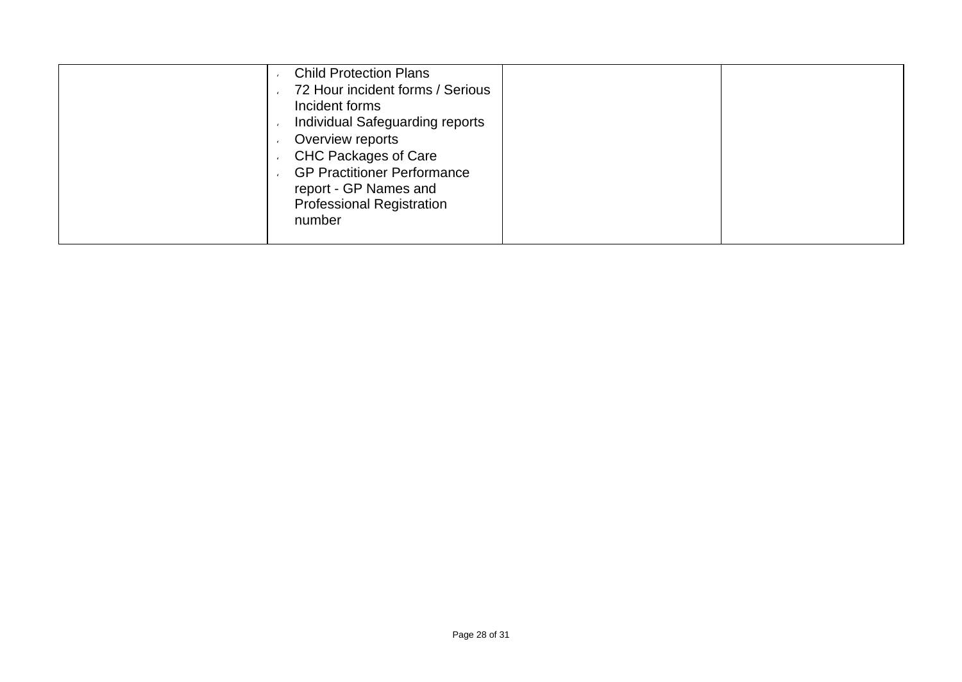| 72 Hour incident forms / Serious<br>Incident forms<br>Individual Safeguarding reports<br>Overview reports<br><b>CHC Packages of Care</b><br><b>GP Practitioner Performance</b><br>report - GP Names and<br><b>Professional Registration</b><br>number |
|-------------------------------------------------------------------------------------------------------------------------------------------------------------------------------------------------------------------------------------------------------|
|-------------------------------------------------------------------------------------------------------------------------------------------------------------------------------------------------------------------------------------------------------|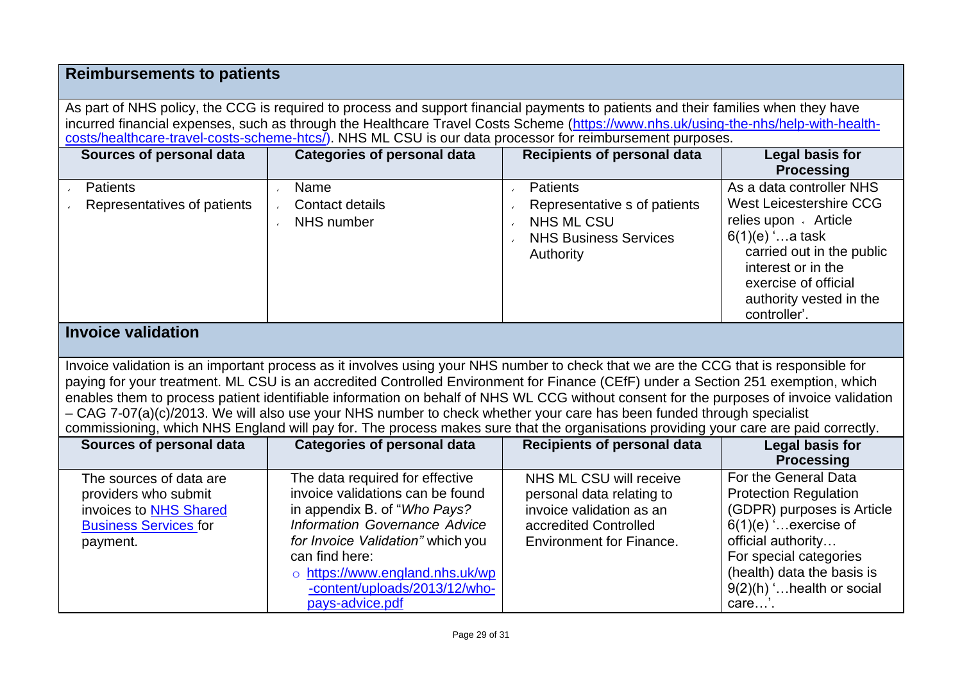#### **Reimbursements to patients**

As part of NHS policy, the CCG is required to process and support financial payments to patients and their families when they have incurred financial expenses, such as through the Healthcare Travel Costs Scheme [\(https://www.nhs.uk/using-the-nhs/help-with-health](https://www.nhs.uk/using-the-nhs/help-with-health-costs/healthcare-travel-costs-scheme-htcs/)[costs/healthcare-travel-costs-scheme-htcs/\)](https://www.nhs.uk/using-the-nhs/help-with-health-costs/healthcare-travel-costs-scheme-htcs/). NHS ML CSU is our data processor for reimbursement purposes.

| Sources of personal data                       | <b>Categories of personal data</b>    | Recipients of personal data                                                                                       | Legal basis for<br><b>Processing</b>                                                                                                                                                                                  |
|------------------------------------------------|---------------------------------------|-------------------------------------------------------------------------------------------------------------------|-----------------------------------------------------------------------------------------------------------------------------------------------------------------------------------------------------------------------|
| <b>Patients</b><br>Representatives of patients | Name<br>Contact details<br>NHS number | <b>Patients</b><br>Representative s of patients<br><b>NHS ML CSU</b><br><b>NHS Business Services</b><br>Authority | As a data controller NHS<br>West Leicestershire CCG<br>relies upon Article<br>$6(1)(e)$ 'a task<br>carried out in the public<br>interest or in the<br>exercise of official<br>authority vested in the<br>controller'. |

#### **Invoice validation**

Invoice validation is an important process as it involves using your NHS number to check that we are the CCG that is responsible for paying for your treatment. ML CSU is an accredited Controlled Environment for Finance (CEfF) under a Section 251 exemption, which enables them to process patient identifiable information on behalf of NHS WL CCG without consent for the purposes of invoice validation – CAG 7-07(a)(c)/2013. We will also use your NHS number to check whether your care has been funded through specialist commissioning, which NHS England will pay for. The process makes sure that the organisations providing your care are paid correctly.

| Sources of personal data                                                                                              | <b>Categories of personal data</b>                                                                                                                                                                                                                                                 | <b>Recipients of personal data</b>                                                                                                           | Legal basis for<br><b>Processing</b>                                                                                                                                                                                              |
|-----------------------------------------------------------------------------------------------------------------------|------------------------------------------------------------------------------------------------------------------------------------------------------------------------------------------------------------------------------------------------------------------------------------|----------------------------------------------------------------------------------------------------------------------------------------------|-----------------------------------------------------------------------------------------------------------------------------------------------------------------------------------------------------------------------------------|
| The sources of data are<br>providers who submit<br>invoices to NHS Shared<br><b>Business Services for</b><br>payment. | The data required for effective<br>invoice validations can be found<br>in appendix B. of "Who Pays?<br>Information Governance Advice<br>for Invoice Validation" which you<br>can find here:<br>o https://www.england.nhs.uk/wp<br>-content/uploads/2013/12/who-<br>pays-advice.pdf | NHS ML CSU will receive<br>personal data relating to<br>invoice validation as an<br>accredited Controlled<br><b>Environment for Finance.</b> | For the General Data<br><b>Protection Regulation</b><br>(GDPR) purposes is Article<br>$6(1)(e)$ exercise of<br>official authority<br>For special categories<br>(health) data the basis is<br>9(2)(h) ' health or social<br>care'. |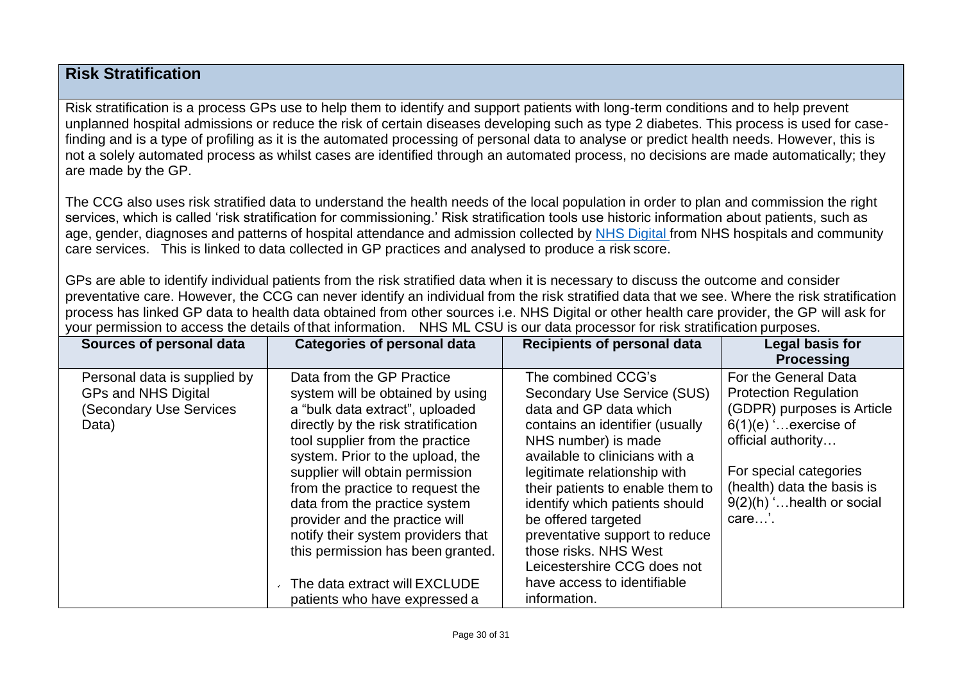## **Risk Stratification**

Risk stratification is a process GPs use to help them to identify and support patients with long-term conditions and to help prevent unplanned hospital admissions or reduce the risk of certain diseases developing such as type 2 diabetes. This process is used for casefinding and is a type of profiling as it is the automated processing of personal data to analyse or predict health needs. However, this is not a solely automated process as whilst cases are identified through an automated process, no decisions are made automatically; they are made by the GP.

The CCG also uses risk stratified data to understand the health needs of the local population in order to plan and commission the right services, which is called 'risk stratification for commissioning.' Risk stratification tools use historic information about patients, such as age, gender, diagnoses and patterns of hospital attendance and admission collected by NHS [Digital](https://digital.nhs.uk/) from NHS hospitals and community care services. This is linked to data collected in GP practices and analysed to produce a risk score.

GPs are able to identify individual patients from the risk stratified data when it is necessary to discuss the outcome and consider preventative care. However, the CCG can never identify an individual from the risk stratified data that we see. Where the risk stratification process has linked GP data to health data obtained from other sources i.e. NHS Digital or other health care provider, the GP will ask for your permission to access the details of that information. NHS ML CSU is our data processor for risk stratification purposes.

| Sources of personal data                                                                | <b>Categories of personal data</b>                                                                                                                                                                                                                                                                                                                                                                                                                                                                    | <b>Recipients of personal data</b>                                                                                                                                                                                                                                                                                                                                                                                                            | Legal basis for<br><b>Processing</b>                                                                                                                                                                                                  |
|-----------------------------------------------------------------------------------------|-------------------------------------------------------------------------------------------------------------------------------------------------------------------------------------------------------------------------------------------------------------------------------------------------------------------------------------------------------------------------------------------------------------------------------------------------------------------------------------------------------|-----------------------------------------------------------------------------------------------------------------------------------------------------------------------------------------------------------------------------------------------------------------------------------------------------------------------------------------------------------------------------------------------------------------------------------------------|---------------------------------------------------------------------------------------------------------------------------------------------------------------------------------------------------------------------------------------|
| Personal data is supplied by<br>GPs and NHS Digital<br>(Secondary Use Services<br>Data) | Data from the GP Practice<br>system will be obtained by using<br>a "bulk data extract", uploaded<br>directly by the risk stratification<br>tool supplier from the practice<br>system. Prior to the upload, the<br>supplier will obtain permission<br>from the practice to request the<br>data from the practice system<br>provider and the practice will<br>notify their system providers that<br>this permission has been granted.<br>The data extract will EXCLUDE<br>patients who have expressed a | The combined CCG's<br>Secondary Use Service (SUS)<br>data and GP data which<br>contains an identifier (usually<br>NHS number) is made<br>available to clinicians with a<br>legitimate relationship with<br>their patients to enable them to<br>identify which patients should<br>be offered targeted<br>preventative support to reduce<br>those risks. NHS West<br>Leicestershire CCG does not<br>have access to identifiable<br>information. | For the General Data<br><b>Protection Regulation</b><br>(GDPR) purposes is Article<br>$6(1)(e)$ . exercise of<br>official authority<br>For special categories<br>(health) data the basis is<br>$9(2)(h)$ ' health or social<br>care'. |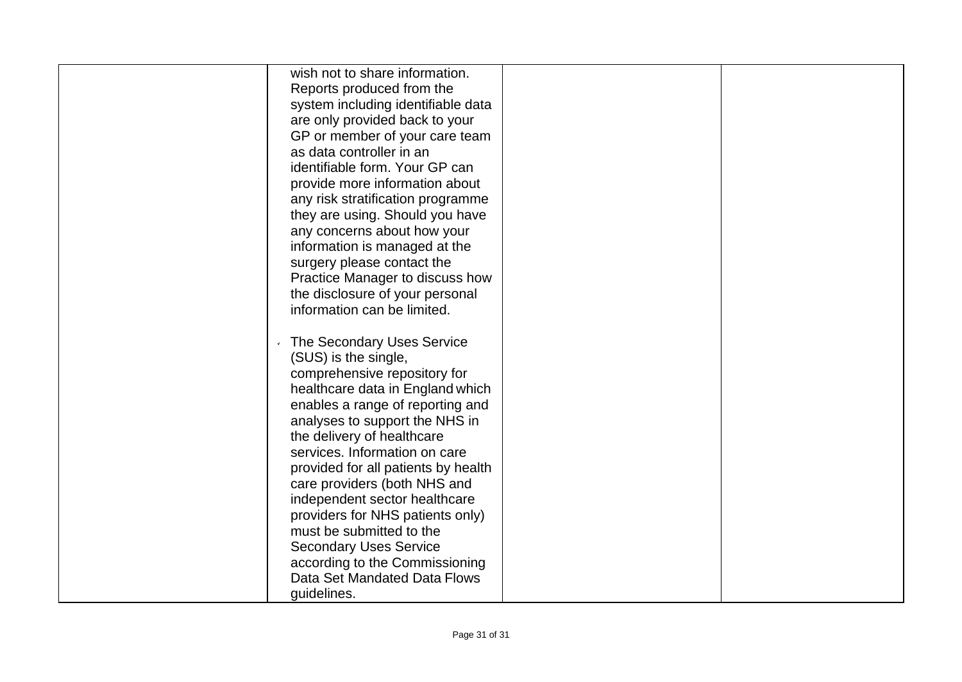| wish not to share information.<br>Reports produced from the<br>system including identifiable data<br>are only provided back to your<br>GP or member of your care team<br>as data controller in an<br>identifiable form. Your GP can<br>provide more information about<br>any risk stratification programme<br>they are using. Should you have<br>any concerns about how your<br>information is managed at the<br>surgery please contact the<br>Practice Manager to discuss how<br>the disclosure of your personal<br>information can be limited.      |  |
|-------------------------------------------------------------------------------------------------------------------------------------------------------------------------------------------------------------------------------------------------------------------------------------------------------------------------------------------------------------------------------------------------------------------------------------------------------------------------------------------------------------------------------------------------------|--|
| The Secondary Uses Service<br>(SUS) is the single,<br>comprehensive repository for<br>healthcare data in England which<br>enables a range of reporting and<br>analyses to support the NHS in<br>the delivery of healthcare<br>services. Information on care<br>provided for all patients by health<br>care providers (both NHS and<br>independent sector healthcare<br>providers for NHS patients only)<br>must be submitted to the<br><b>Secondary Uses Service</b><br>according to the Commissioning<br>Data Set Mandated Data Flows<br>guidelines. |  |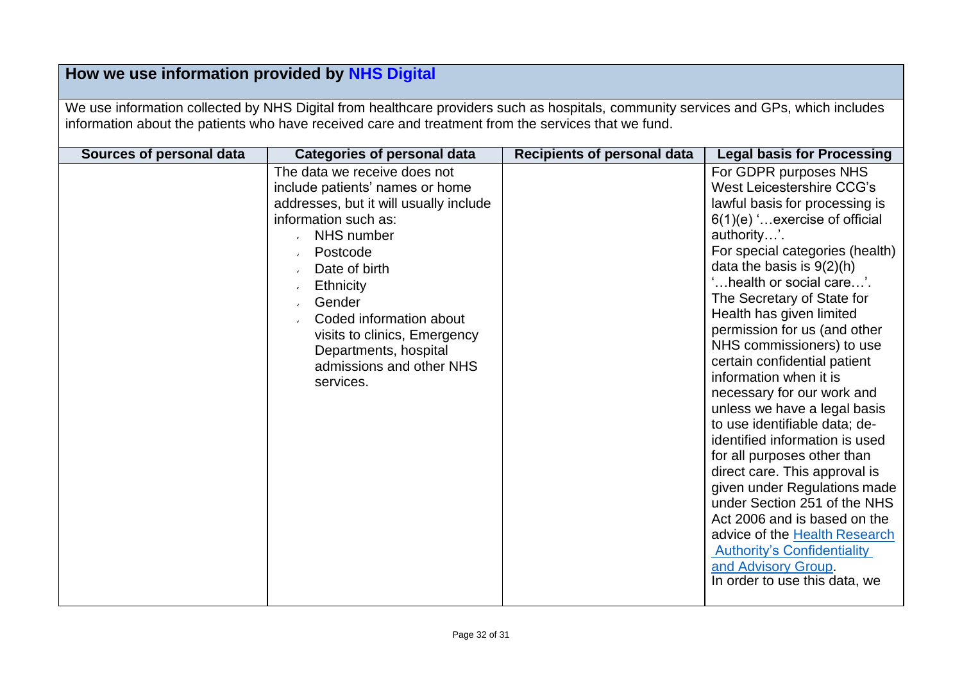## **How we use information provided by [NHS Digital](https://digital.nhs.uk/)**

We use information collected by NHS Digital from healthcare providers such as hospitals, community services and GPs, which includes information about the patients who have received care and treatment from the services that we fund.

| Sources of personal data | <b>Categories of personal data</b>                                                                                                                                                                                                                                                                                                               | <b>Recipients of personal data</b> | <b>Legal basis for Processing</b>                                                                                                                                                                                                                                                                                                                                                                                                                                                                                                                                                                                                                                                                                                                                                                                                                   |
|--------------------------|--------------------------------------------------------------------------------------------------------------------------------------------------------------------------------------------------------------------------------------------------------------------------------------------------------------------------------------------------|------------------------------------|-----------------------------------------------------------------------------------------------------------------------------------------------------------------------------------------------------------------------------------------------------------------------------------------------------------------------------------------------------------------------------------------------------------------------------------------------------------------------------------------------------------------------------------------------------------------------------------------------------------------------------------------------------------------------------------------------------------------------------------------------------------------------------------------------------------------------------------------------------|
|                          | The data we receive does not<br>include patients' names or home<br>addresses, but it will usually include<br>information such as:<br>NHS number<br>Postcode<br>$\mathbf{r}$<br>Date of birth<br>Ethnicity<br>Gender<br>Coded information about<br>visits to clinics, Emergency<br>Departments, hospital<br>admissions and other NHS<br>services. |                                    | For GDPR purposes NHS<br>West Leicestershire CCG's<br>lawful basis for processing is<br>6(1)(e) 'exercise of official<br>authority'.<br>For special categories (health)<br>data the basis is $9(2)(h)$<br>'health or social care'.<br>The Secretary of State for<br>Health has given limited<br>permission for us (and other<br>NHS commissioners) to use<br>certain confidential patient<br>information when it is<br>necessary for our work and<br>unless we have a legal basis<br>to use identifiable data; de-<br>identified information is used<br>for all purposes other than<br>direct care. This approval is<br>given under Regulations made<br>under Section 251 of the NHS<br>Act 2006 and is based on the<br>advice of the Health Research<br><b>Authority's Confidentiality</b><br>and Advisory Group.<br>In order to use this data, we |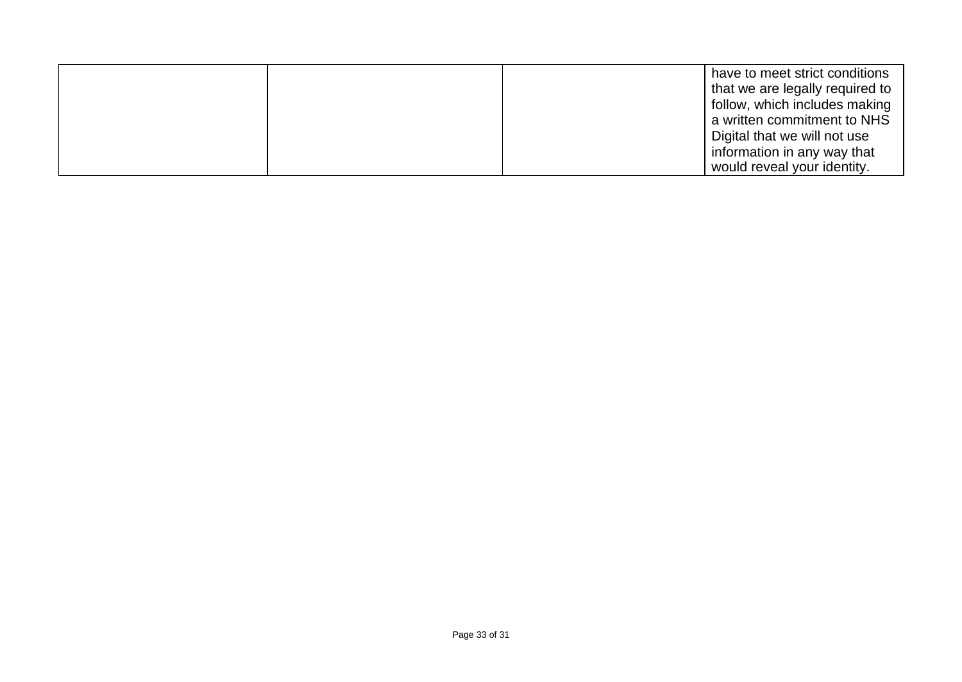|  | have to meet strict conditions<br>that we are legally required to<br>follow, which includes making<br>a written commitment to NHS<br>Digital that we will not use<br>information in any way that |
|--|--------------------------------------------------------------------------------------------------------------------------------------------------------------------------------------------------|
|  | would reveal your identity.                                                                                                                                                                      |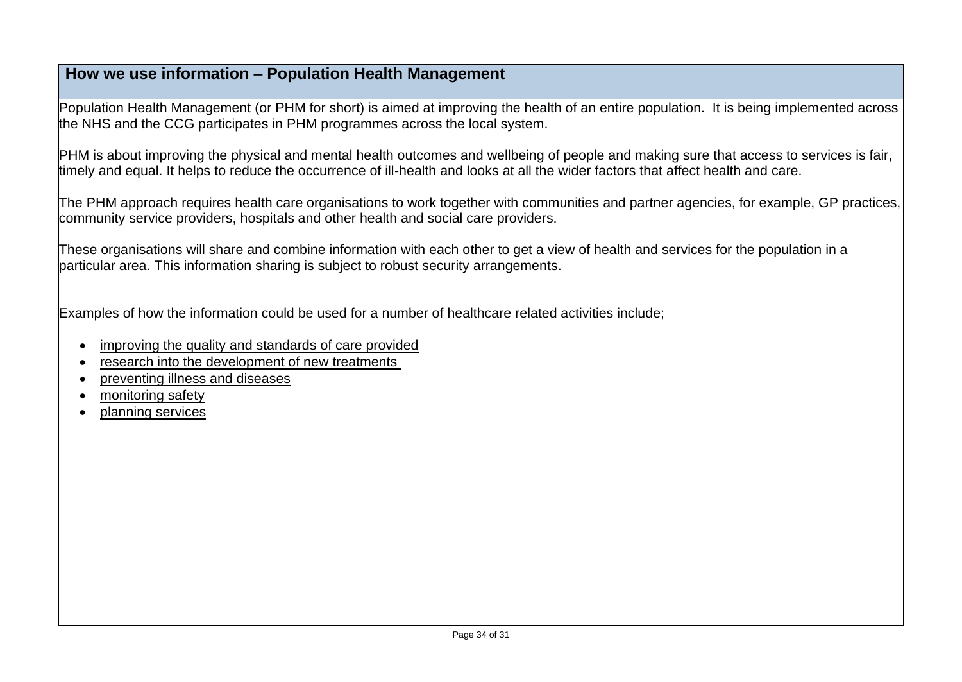## **How we use information – Population Health Management**

Population Health Management (or PHM for short) is aimed at improving the health of an entire population. It is being implemented across the NHS and the CCG participates in PHM programmes across the local system.

PHM is about improving the physical and mental health outcomes and wellbeing of people and making sure that access to services is fair, timely and equal. It helps to reduce the occurrence of ill-health and looks at all the wider factors that affect health and care.

The PHM approach requires health care organisations to work together with communities and partner agencies, for example, GP practices, community service providers, hospitals and other health and social care providers.

These organisations will share and combine information with each other to get a view of health and services for the population in a particular area. This information sharing is subject to robust security arrangements.

Examples of how the information could be used for a number of healthcare related activities include;

- improving the quality and standards of care provided
- research into the development of new treatments
- preventing illness and diseases
- monitoring safety
- planning services